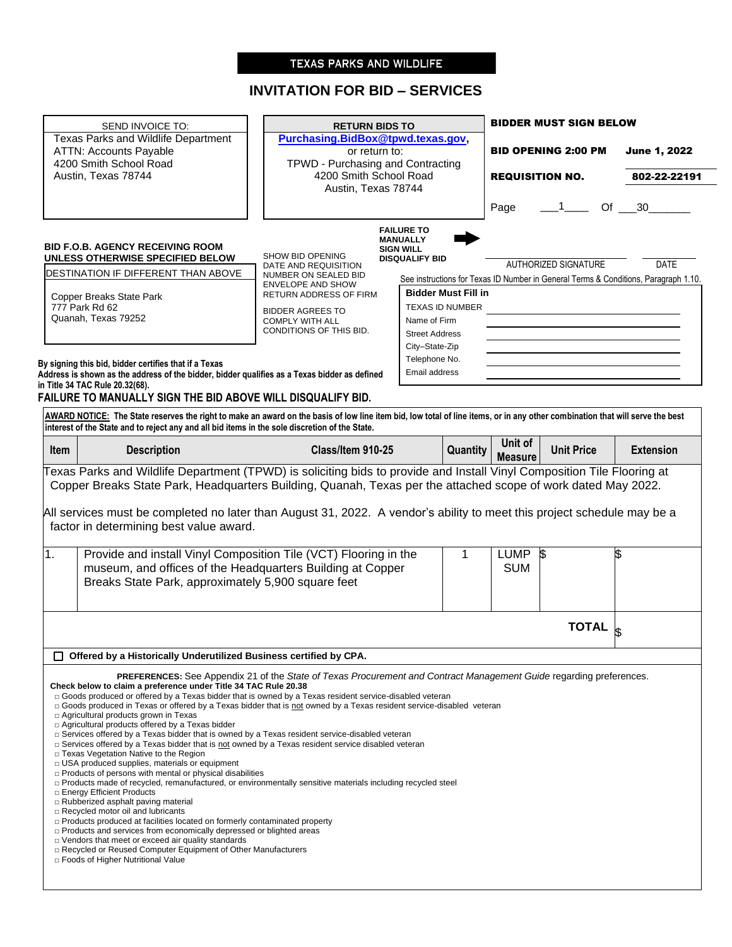# TEXAS PARKS AND WILDLIFE

# **INVITATION FOR BID – SERVICES**

| SEND INVOICE TO:                                                                                                                                                                                                                                                                                                               | <b>RETURN BIDS TO</b>                                                                                                          |                                                                                                                   |                                       | <b>BIDDER MUST SIGN BELOW</b> |                  |
|--------------------------------------------------------------------------------------------------------------------------------------------------------------------------------------------------------------------------------------------------------------------------------------------------------------------------------|--------------------------------------------------------------------------------------------------------------------------------|-------------------------------------------------------------------------------------------------------------------|---------------------------------------|-------------------------------|------------------|
| Texas Parks and Wildlife Department<br><b>ATTN: Accounts Payable</b><br>4200 Smith School Road                                                                                                                                                                                                                                 | TPWD - Purchasing and Contracting                                                                                              | Purchasing.BidBox@tpwd.texas.gov,<br><b>BID OPENING 2:00 PM</b><br>or return to:                                  |                                       | June 1, 2022                  |                  |
| Austin, Texas 78744                                                                                                                                                                                                                                                                                                            | 4200 Smith School Road<br>Austin, Texas 78744                                                                                  |                                                                                                                   | <b>REQUISITION NO.</b>                |                               | 802-22-22191     |
|                                                                                                                                                                                                                                                                                                                                |                                                                                                                                |                                                                                                                   | Page                                  | $\sim$ 1                      | Of $30$          |
| <b>BID F.O.B. AGENCY RECEIVING ROOM</b>                                                                                                                                                                                                                                                                                        | SHOW BID OPENING                                                                                                               | <b>FAILURE TO</b><br><b>MANUALLY</b><br><b>SIGN WILL</b>                                                          |                                       |                               |                  |
| UNLESS OTHERWISE SPECIFIED BELOW<br>DESTINATION IF DIFFERENT THAN ABOVE                                                                                                                                                                                                                                                        | DATE AND REQUISITION<br>NUMBER ON SEALED BID                                                                                   | <b>DISQUALIFY BID</b>                                                                                             |                                       | AUTHORIZED SIGNATURE          | <b>DATE</b>      |
|                                                                                                                                                                                                                                                                                                                                | <b>ENVELOPE AND SHOW</b>                                                                                                       | See instructions for Texas ID Number in General Terms & Conditions, Paragraph 1.10.<br><b>Bidder Must Fill in</b> |                                       |                               |                  |
| Copper Breaks State Park<br>777 Park Rd 62                                                                                                                                                                                                                                                                                     | RETURN ADDRESS OF FIRM                                                                                                         | <b>TEXAS ID NUMBER</b>                                                                                            |                                       |                               |                  |
| Quanah, Texas 79252                                                                                                                                                                                                                                                                                                            | <b>BIDDER AGREES TO</b><br><b>COMPLY WITH ALL</b>                                                                              | Name of Firm                                                                                                      |                                       |                               |                  |
|                                                                                                                                                                                                                                                                                                                                | CONDITIONS OF THIS BID.                                                                                                        | <b>Street Address</b>                                                                                             |                                       |                               |                  |
|                                                                                                                                                                                                                                                                                                                                |                                                                                                                                | City-State-Zip                                                                                                    |                                       |                               |                  |
| By signing this bid, bidder certifies that if a Texas                                                                                                                                                                                                                                                                          |                                                                                                                                | Telephone No.                                                                                                     |                                       |                               |                  |
| Address is shown as the address of the bidder, bidder qualifies as a Texas bidder as defined                                                                                                                                                                                                                                   |                                                                                                                                | Email address                                                                                                     |                                       |                               |                  |
| in Title 34 TAC Rule 20.32(68).                                                                                                                                                                                                                                                                                                |                                                                                                                                |                                                                                                                   |                                       |                               |                  |
| FAILURE TO MANUALLY SIGN THE BID ABOVE WILL DISQUALIFY BID.                                                                                                                                                                                                                                                                    |                                                                                                                                |                                                                                                                   |                                       |                               |                  |
| AWARD NOTICE: The State reserves the right to make an award on the basis of low line item bid, low total of line items, or in any other combination that will serve the best<br>interest of the State and to reject any and all bid items in the sole discretion of the State.                                                 |                                                                                                                                |                                                                                                                   |                                       |                               |                  |
|                                                                                                                                                                                                                                                                                                                                | Class/Item 910-25                                                                                                              | Quantity                                                                                                          | Unit of<br><b>Measure</b>             | <b>Unit Price</b>             | <b>Extension</b> |
| <b>Description</b><br><b>Item</b><br>Copper Breaks State Park, Headquarters Building, Quanah, Texas per the attached scope of work dated May 2022.                                                                                                                                                                             |                                                                                                                                |                                                                                                                   |                                       |                               |                  |
| factor in determining best value award.                                                                                                                                                                                                                                                                                        |                                                                                                                                |                                                                                                                   |                                       |                               |                  |
| Breaks State Park, approximately 5,900 square feet                                                                                                                                                                                                                                                                             | Provide and install Vinyl Composition Tile (VCT) Flooring in the<br>museum, and offices of the Headquarters Building at Copper | 1                                                                                                                 | <b>LUMP</b><br><b>S</b><br><b>SUM</b> |                               | \$               |
|                                                                                                                                                                                                                                                                                                                                |                                                                                                                                |                                                                                                                   |                                       | <b>TOTAL</b>                  |                  |
| Texas Parks and Wildlife Department (TPWD) is soliciting bids to provide and Install Vinyl Composition Tile Flooring at<br>All services must be completed no later than August 31, 2022. A vendor's ability to meet this project schedule may be a<br>1.<br>Offered by a Historically Underutilized Business certified by CPA. |                                                                                                                                |                                                                                                                   |                                       |                               |                  |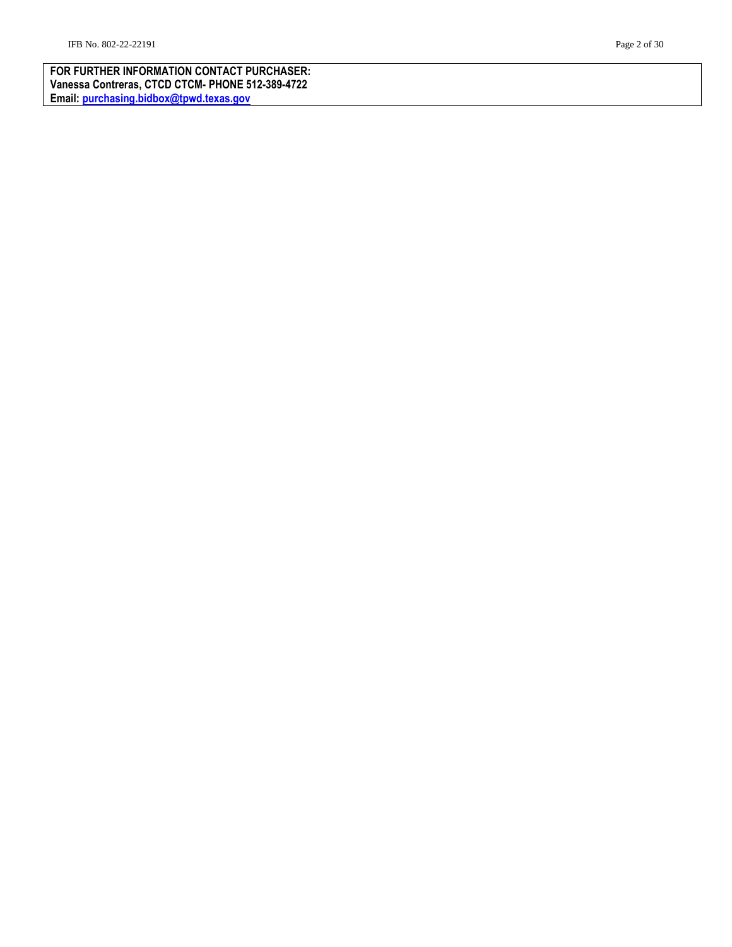**FOR FURTHER INFORMATION CONTACT PURCHASER: Vanessa Contreras, CTCD CTCM - PHONE 512 -389 -4722 Email: [purchasing.bidbox@tpwd.texas.gov](mailto:purchasing.bidbox@tpwd.texas.gov)**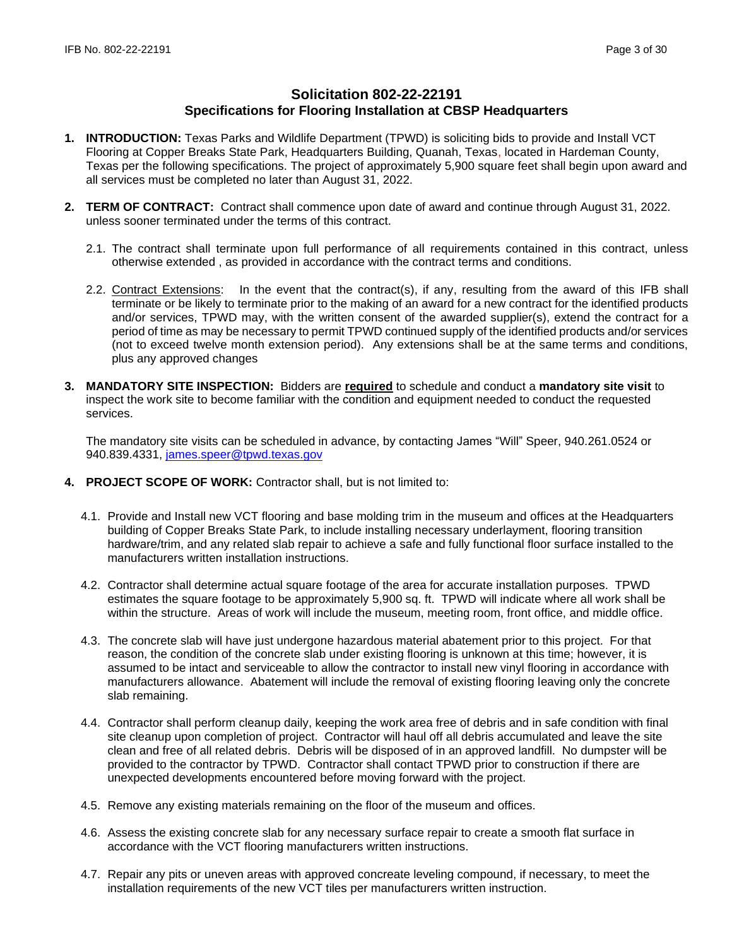# **Solicitation 802-22-22191 Specifications for Flooring Installation at CBSP Headquarters**

- **1. INTRODUCTION:** Texas Parks and Wildlife Department (TPWD) is soliciting bids to provide and Install VCT Flooring at Copper Breaks State Park, Headquarters Building, Quanah, Texas, located in Hardeman County, Texas per the following specifications. The project of approximately 5,900 square feet shall begin upon award and all services must be completed no later than August 31, 2022.
- **2. TERM OF CONTRACT:** Contract shall commence upon date of award and continue through August 31, 2022. unless sooner terminated under the terms of this contract.
	- 2.1. The contract shall terminate upon full performance of all requirements contained in this contract, unless otherwise extended , as provided in accordance with the contract terms and conditions.
	- 2.2. Contract Extensions: In the event that the contract(s), if any, resulting from the award of this IFB shall terminate or be likely to terminate prior to the making of an award for a new contract for the identified products and/or services, TPWD may, with the written consent of the awarded supplier(s), extend the contract for a period of time as may be necessary to permit TPWD continued supply of the identified products and/or services (not to exceed twelve month extension period). Any extensions shall be at the same terms and conditions, plus any approved changes
- **3. MANDATORY SITE INSPECTION:** Bidders are **required** to schedule and conduct a **mandatory site visit** to inspect the work site to become familiar with the condition and equipment needed to conduct the requested services.

The mandatory site visits can be scheduled in advance, by contacting James "Will" Speer, 940.261.0524 or 940.839.4331, [james.speer@tpwd.texas.gov](mailto:james.speer@tpwd.texas.gov)

- **4. PROJECT SCOPE OF WORK:** Contractor shall, but is not limited to:
	- 4.1. Provide and Install new VCT flooring and base molding trim in the museum and offices at the Headquarters building of Copper Breaks State Park, to include installing necessary underlayment, flooring transition hardware/trim, and any related slab repair to achieve a safe and fully functional floor surface installed to the manufacturers written installation instructions.
	- 4.2. Contractor shall determine actual square footage of the area for accurate installation purposes. TPWD estimates the square footage to be approximately 5,900 sq. ft. TPWD will indicate where all work shall be within the structure. Areas of work will include the museum, meeting room, front office, and middle office.
	- 4.3. The concrete slab will have just undergone hazardous material abatement prior to this project. For that reason, the condition of the concrete slab under existing flooring is unknown at this time; however, it is assumed to be intact and serviceable to allow the contractor to install new vinyl flooring in accordance with manufacturers allowance. Abatement will include the removal of existing flooring leaving only the concrete slab remaining.
	- 4.4. Contractor shall perform cleanup daily, keeping the work area free of debris and in safe condition with final site cleanup upon completion of project. Contractor will haul off all debris accumulated and leave the site clean and free of all related debris. Debris will be disposed of in an approved landfill. No dumpster will be provided to the contractor by TPWD. Contractor shall contact TPWD prior to construction if there are unexpected developments encountered before moving forward with the project.
	- 4.5. Remove any existing materials remaining on the floor of the museum and offices.
	- 4.6. Assess the existing concrete slab for any necessary surface repair to create a smooth flat surface in accordance with the VCT flooring manufacturers written instructions.
	- 4.7. Repair any pits or uneven areas with approved concreate leveling compound, if necessary, to meet the installation requirements of the new VCT tiles per manufacturers written instruction.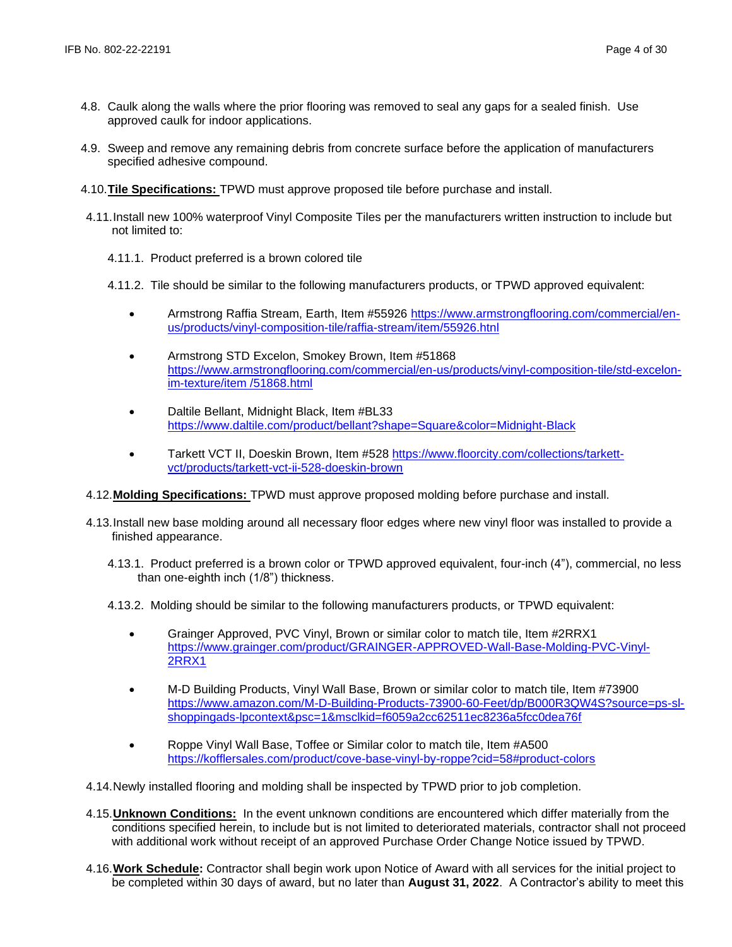- 4.8. Caulk along the walls where the prior flooring was removed to seal any gaps for a sealed finish. Use approved caulk for indoor applications.
- 4.9. Sweep and remove any remaining debris from concrete surface before the application of manufacturers specified adhesive compound.
- 4.10.**Tile Specifications:** TPWD must approve proposed tile before purchase and install.
- 4.11.Install new 100% waterproof Vinyl Composite Tiles per the manufacturers written instruction to include but not limited to:
	- 4.11.1. Product preferred is a brown colored tile
	- 4.11.2. Tile should be similar to the following manufacturers products, or TPWD approved equivalent:
		- Armstrong Raffia Stream, Earth, Item #55926 [https://www.armstrongflooring.com/commercial/en](https://www.armstrongflooring.com/commercial/en-us/products/vinyl-composition-tile/raffia-stream/item/55926.htnl)[us/products/vinyl-composition-tile/raffia-stream/item/55926.htnl](https://www.armstrongflooring.com/commercial/en-us/products/vinyl-composition-tile/raffia-stream/item/55926.htnl)
		- Armstrong STD Excelon, Smokey Brown, Item #51868 [https://www.armstrongflooring.com/commercial/en-us/products/vinyl-composition-tile/std-excelon](https://www.armstrongflooring.com/commercial/en-us/products/vinyl-composition-tile/std-excelon-im-texture/item%20/51868.html)[im-texture/item /51868.html](https://www.armstrongflooring.com/commercial/en-us/products/vinyl-composition-tile/std-excelon-im-texture/item%20/51868.html)
		- Daltile Bellant, Midnight Black, Item #BL33 <https://www.daltile.com/product/bellant?shape=Square&color=Midnight-Black>
		- Tarkett VCT II, Doeskin Brown, Item #528 [https://www.floorcity.com/collections/tarkett](https://www.floorcity.com/collections/tarkett-vct/products/tarkett-vct-ii-528-doeskin-brown)[vct/products/tarkett-vct-ii-528-doeskin-brown](https://www.floorcity.com/collections/tarkett-vct/products/tarkett-vct-ii-528-doeskin-brown)
- 4.12.**Molding Specifications:** TPWD must approve proposed molding before purchase and install.
- 4.13.Install new base molding around all necessary floor edges where new vinyl floor was installed to provide a finished appearance.
	- 4.13.1. Product preferred is a brown color or TPWD approved equivalent, four-inch (4"), commercial, no less than one-eighth inch (1/8") thickness.
	- 4.13.2. Molding should be similar to the following manufacturers products, or TPWD equivalent:
		- Grainger Approved, PVC Vinyl, Brown or similar color to match tile, Item #2RRX1 [https://www.grainger.com/product/GRAINGER-APPROVED-Wall-Base-Molding-PVC-Vinyl-](https://www.grainger.com/product/GRAINGER-APPROVED-Wall-Base-Molding-PVC-Vinyl-2RRX1)[2RRX1](https://www.grainger.com/product/GRAINGER-APPROVED-Wall-Base-Molding-PVC-Vinyl-2RRX1)
		- M-D Building Products, Vinyl Wall Base, Brown or similar color to match tile, Item #73900 [https://www.amazon.com/M-D-Building-Products-73900-60-Feet/dp/B000R3QW4S?source=ps-sl](https://www.amazon.com/M-D-Building-Products-73900-60-Feet/dp/B000R3QW4S?source=ps-sl-shoppingads-lpcontext&psc=1&msclkid=f6059a2cc62511ec8236a5fcc0dea76f)[shoppingads-lpcontext&psc=1&msclkid=f6059a2cc62511ec8236a5fcc0dea76f](https://www.amazon.com/M-D-Building-Products-73900-60-Feet/dp/B000R3QW4S?source=ps-sl-shoppingads-lpcontext&psc=1&msclkid=f6059a2cc62511ec8236a5fcc0dea76f)
		- Roppe Vinyl Wall Base, Toffee or Similar color to match tile, Item #A500 <https://kofflersales.com/product/cove-base-vinyl-by-roppe?cid=58#product-colors>
- 4.14.Newly installed flooring and molding shall be inspected by TPWD prior to job completion.
- 4.15.**Unknown Conditions:** In the event unknown conditions are encountered which differ materially from the conditions specified herein, to include but is not limited to deteriorated materials, contractor shall not proceed with additional work without receipt of an approved Purchase Order Change Notice issued by TPWD.
- 4.16.**Work Schedule:** Contractor shall begin work upon Notice of Award with all services for the initial project to be completed within 30 days of award, but no later than **August 31, 2022**. A Contractor's ability to meet this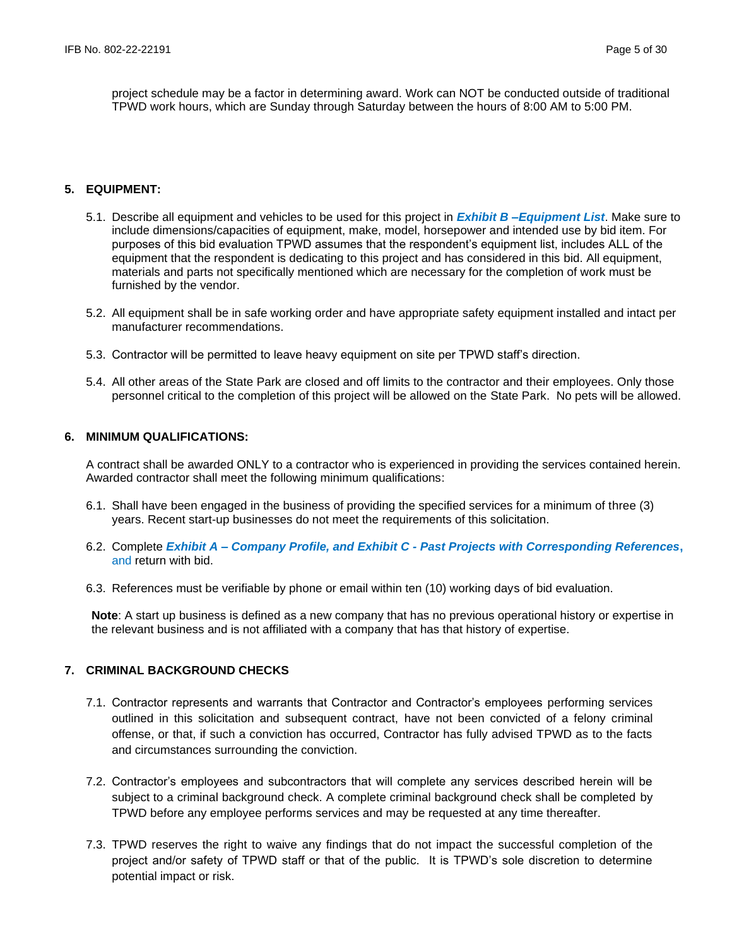project schedule may be a factor in determining award. Work can NOT be conducted outside of traditional TPWD work hours, which are Sunday through Saturday between the hours of 8:00 AM to 5:00 PM.

## **5. EQUIPMENT:**

- 5.1. Describe all equipment and vehicles to be used for this project in *Exhibit B –Equipment List*. Make sure to include dimensions/capacities of equipment, make, model, horsepower and intended use by bid item. For purposes of this bid evaluation TPWD assumes that the respondent's equipment list, includes ALL of the equipment that the respondent is dedicating to this project and has considered in this bid. All equipment, materials and parts not specifically mentioned which are necessary for the completion of work must be furnished by the vendor.
- 5.2. All equipment shall be in safe working order and have appropriate safety equipment installed and intact per manufacturer recommendations.
- 5.3. Contractor will be permitted to leave heavy equipment on site per TPWD staff's direction.
- 5.4. All other areas of the State Park are closed and off limits to the contractor and their employees. Only those personnel critical to the completion of this project will be allowed on the State Park. No pets will be allowed.

## **6. MINIMUM QUALIFICATIONS:**

A contract shall be awarded ONLY to a contractor who is experienced in providing the services contained herein. Awarded contractor shall meet the following minimum qualifications:

- 6.1. Shall have been engaged in the business of providing the specified services for a minimum of three (3) years. Recent start-up businesses do not meet the requirements of this solicitation.
- 6.2. Complete *Exhibit A – Company Profile, and Exhibit C - Past Projects with Corresponding References***,**  and return with bid.
- 6.3. References must be verifiable by phone or email within ten (10) working days of bid evaluation.

**Note**: A start up business is defined as a new company that has no previous operational history or expertise in the relevant business and is not affiliated with a company that has that history of expertise.

# **7. CRIMINAL BACKGROUND CHECKS**

- 7.1. Contractor represents and warrants that Contractor and Contractor's employees performing services outlined in this solicitation and subsequent contract, have not been convicted of a felony criminal offense, or that, if such a conviction has occurred, Contractor has fully advised TPWD as to the facts and circumstances surrounding the conviction.
- 7.2. Contractor's employees and subcontractors that will complete any services described herein will be subject to a criminal background check. A complete criminal background check shall be completed by TPWD before any employee performs services and may be requested at any time thereafter.
- 7.3. TPWD reserves the right to waive any findings that do not impact the successful completion of the project and/or safety of TPWD staff or that of the public. It is TPWD's sole discretion to determine potential impact or risk.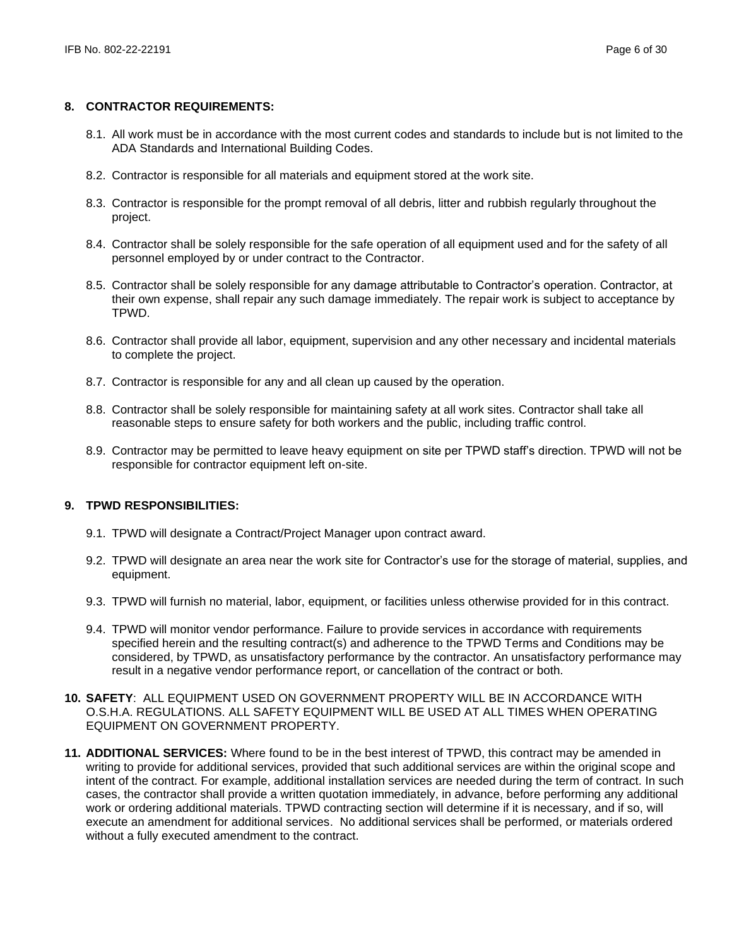## **8. CONTRACTOR REQUIREMENTS:**

- 8.1. All work must be in accordance with the most current codes and standards to include but is not limited to the ADA Standards and International Building Codes.
- 8.2. Contractor is responsible for all materials and equipment stored at the work site.
- 8.3. Contractor is responsible for the prompt removal of all debris, litter and rubbish regularly throughout the project.
- 8.4. Contractor shall be solely responsible for the safe operation of all equipment used and for the safety of all personnel employed by or under contract to the Contractor.
- 8.5. Contractor shall be solely responsible for any damage attributable to Contractor's operation. Contractor, at their own expense, shall repair any such damage immediately. The repair work is subject to acceptance by TPWD.
- 8.6. Contractor shall provide all labor, equipment, supervision and any other necessary and incidental materials to complete the project.
- 8.7. Contractor is responsible for any and all clean up caused by the operation.
- 8.8. Contractor shall be solely responsible for maintaining safety at all work sites. Contractor shall take all reasonable steps to ensure safety for both workers and the public, including traffic control.
- 8.9. Contractor may be permitted to leave heavy equipment on site per TPWD staff's direction. TPWD will not be responsible for contractor equipment left on-site.

## **9. TPWD RESPONSIBILITIES:**

- 9.1. TPWD will designate a Contract/Project Manager upon contract award.
- 9.2. TPWD will designate an area near the work site for Contractor's use for the storage of material, supplies, and equipment.
- 9.3. TPWD will furnish no material, labor, equipment, or facilities unless otherwise provided for in this contract.
- 9.4. TPWD will monitor vendor performance. Failure to provide services in accordance with requirements specified herein and the resulting contract(s) and adherence to the TPWD Terms and Conditions may be considered, by TPWD, as unsatisfactory performance by the contractor. An unsatisfactory performance may result in a negative vendor performance report, or cancellation of the contract or both.
- **10. SAFETY**: ALL EQUIPMENT USED ON GOVERNMENT PROPERTY WILL BE IN ACCORDANCE WITH O.S.H.A. REGULATIONS. ALL SAFETY EQUIPMENT WILL BE USED AT ALL TIMES WHEN OPERATING EQUIPMENT ON GOVERNMENT PROPERTY.
- **11. ADDITIONAL SERVICES:** Where found to be in the best interest of TPWD, this contract may be amended in writing to provide for additional services, provided that such additional services are within the original scope and intent of the contract. For example, additional installation services are needed during the term of contract. In such cases, the contractor shall provide a written quotation immediately, in advance, before performing any additional work or ordering additional materials. TPWD contracting section will determine if it is necessary, and if so, will execute an amendment for additional services. No additional services shall be performed, or materials ordered without a fully executed amendment to the contract.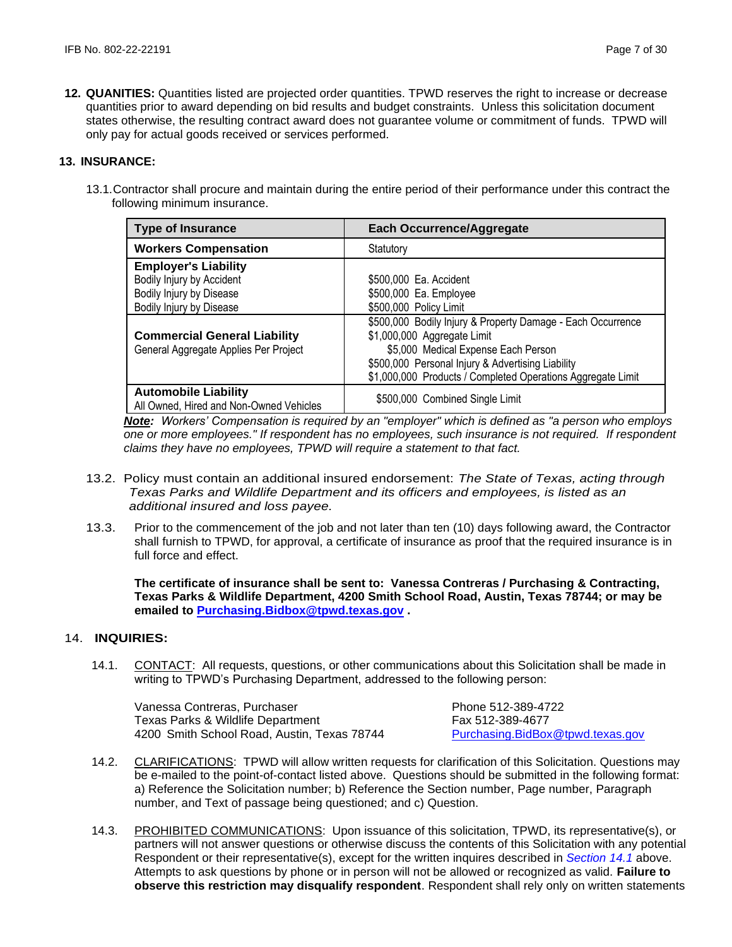**12. QUANITIES:** Quantities listed are projected order quantities. TPWD reserves the right to increase or decrease quantities prior to award depending on bid results and budget constraints. Unless this solicitation document states otherwise, the resulting contract award does not guarantee volume or commitment of funds. TPWD will only pay for actual goods received or services performed.

## **13. INSURANCE:**

13.1.Contractor shall procure and maintain during the entire period of their performance under this contract the following minimum insurance.

| <b>Type of Insurance</b>                                                                                         | <b>Each Occurrence/Aggregate</b>                                                                                                                                                                                                                      |
|------------------------------------------------------------------------------------------------------------------|-------------------------------------------------------------------------------------------------------------------------------------------------------------------------------------------------------------------------------------------------------|
| <b>Workers Compensation</b>                                                                                      | Statutory                                                                                                                                                                                                                                             |
| <b>Employer's Liability</b><br>Bodily Injury by Accident<br>Bodily Injury by Disease<br>Bodily Injury by Disease | \$500,000 Ea. Accident<br>\$500,000 Ea. Employee<br>\$500,000 Policy Limit                                                                                                                                                                            |
| <b>Commercial General Liability</b><br>General Aggregate Applies Per Project                                     | \$500,000 Bodily Injury & Property Damage - Each Occurrence<br>\$1,000,000 Aggregate Limit<br>\$5,000 Medical Expense Each Person<br>\$500,000 Personal Injury & Advertising Liability<br>\$1,000,000 Products / Completed Operations Aggregate Limit |
| <b>Automobile Liability</b><br>All Owned, Hired and Non-Owned Vehicles                                           | \$500,000 Combined Single Limit                                                                                                                                                                                                                       |

*Note: Workers' Compensation is required by an "employer" which is defined as "a person who employs one or more employees." If respondent has no employees, such insurance is not required. If respondent claims they have no employees, TPWD will require a statement to that fact.*

- 13.2. Policy must contain an additional insured endorsement: *The State of Texas, acting through Texas Parks and Wildlife Department and its officers and employees, is listed as an additional insured and loss payee.*
- 13.3. Prior to the commencement of the job and not later than ten (10) days following award, the Contractor shall furnish to TPWD, for approval, a certificate of insurance as proof that the required insurance is in full force and effect.

**The certificate of insurance shall be sent to: Vanessa Contreras / Purchasing & Contracting, Texas Parks & Wildlife Department, 4200 Smith School Road, Austin, Texas 78744; or may be emailed to [Purchasing.Bidbox@tpwd.texas.gov](mailto:Purchasing.Bidbox@tpwd.texas.gov) .**

## 14. **INQUIRIES:**

14.1. CONTACT: All requests, questions, or other communications about this Solicitation shall be made in writing to TPWD's Purchasing Department, addressed to the following person:

Vanessa Contreras, Purchaser Phone 512-389-4722 Texas Parks & Wildlife Department Fax 512-389-4677 4200 Smith School Road, Austin, Texas 78744 [Purchasing.BidBox@tpwd.texas.gov](mailto:Purchasing.BidBox@tpwd.texas.gov)

- 14.2. CLARIFICATIONS: TPWD will allow written requests for clarification of this Solicitation. Questions may be e-mailed to the point-of-contact listed above. Questions should be submitted in the following format: a) Reference the Solicitation number; b) Reference the Section number, Page number, Paragraph number, and Text of passage being questioned; and c) Question.
- 14.3. PROHIBITED COMMUNICATIONS: Upon issuance of this solicitation, TPWD, its representative(s), or partners will not answer questions or otherwise discuss the contents of this Solicitation with any potential Respondent or their representative(s), except for the written inquires described in *Section 14.1* above. Attempts to ask questions by phone or in person will not be allowed or recognized as valid. **Failure to observe this restriction may disqualify respondent**. Respondent shall rely only on written statements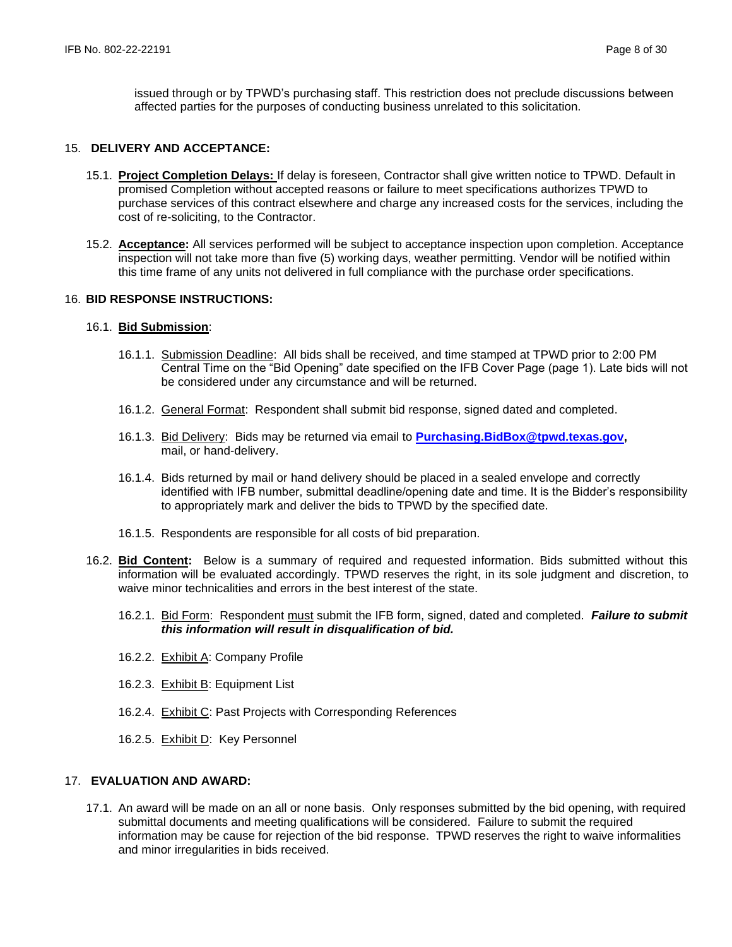issued through or by TPWD's purchasing staff. This restriction does not preclude discussions between affected parties for the purposes of conducting business unrelated to this solicitation.

### 15. **DELIVERY AND ACCEPTANCE:**

- 15.1. **Project Completion Delays:** If delay is foreseen, Contractor shall give written notice to TPWD. Default in promised Completion without accepted reasons or failure to meet specifications authorizes TPWD to purchase services of this contract elsewhere and charge any increased costs for the services, including the cost of re-soliciting, to the Contractor.
- 15.2. **Acceptance:** All services performed will be subject to acceptance inspection upon completion. Acceptance inspection will not take more than five (5) working days, weather permitting. Vendor will be notified within this time frame of any units not delivered in full compliance with the purchase order specifications.

## 16. **BID RESPONSE INSTRUCTIONS:**

#### 16.1. **Bid Submission**:

- 16.1.1. Submission Deadline: All bids shall be received, and time stamped at TPWD prior to 2:00 PM Central Time on the "Bid Opening" date specified on the IFB Cover Page (page 1). Late bids will not be considered under any circumstance and will be returned.
- 16.1.2. General Format: Respondent shall submit bid response, signed dated and completed.
- 16.1.3. Bid Delivery: Bids may be returned via email to **[Purchasing.BidBox@tpwd.texas.gov,](mailto:Purchasing.BidBox@tpwd.texas.gov)**  mail, or hand-delivery.
- 16.1.4. Bids returned by mail or hand delivery should be placed in a sealed envelope and correctly identified with IFB number, submittal deadline/opening date and time. It is the Bidder's responsibility to appropriately mark and deliver the bids to TPWD by the specified date.
- 16.1.5. Respondents are responsible for all costs of bid preparation.
- 16.2. **Bid Content:** Below is a summary of required and requested information. Bids submitted without this information will be evaluated accordingly. TPWD reserves the right, in its sole judgment and discretion, to waive minor technicalities and errors in the best interest of the state.
	- 16.2.1. Bid Form: Respondent must submit the IFB form, signed, dated and completed. *Failure to submit this information will result in disqualification of bid.*
	- 16.2.2. Exhibit A: Company Profile
	- 16.2.3. Exhibit B: Equipment List
	- 16.2.4. Exhibit C: Past Projects with Corresponding References
	- 16.2.5. Exhibit D: Key Personnel

#### 17. **EVALUATION AND AWARD:**

17.1. An award will be made on an all or none basis. Only responses submitted by the bid opening, with required submittal documents and meeting qualifications will be considered. Failure to submit the required information may be cause for rejection of the bid response. TPWD reserves the right to waive informalities and minor irregularities in bids received.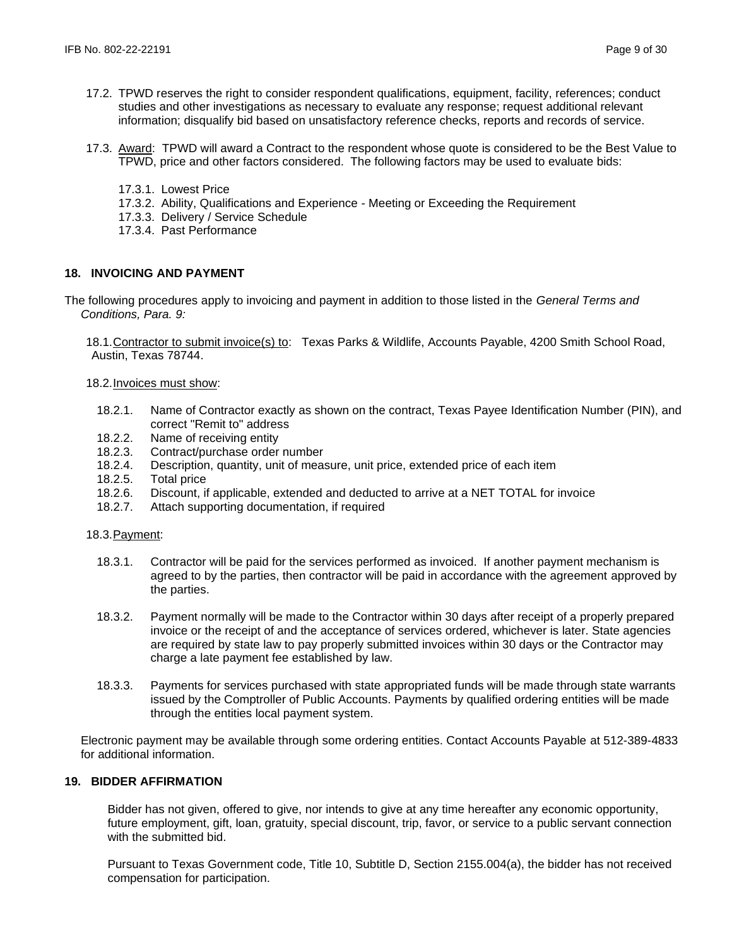- 17.2. TPWD reserves the right to consider respondent qualifications, equipment, facility, references; conduct studies and other investigations as necessary to evaluate any response; request additional relevant information; disqualify bid based on unsatisfactory reference checks, reports and records of service.
- 17.3. Award: TPWD will award a Contract to the respondent whose quote is considered to be the Best Value to TPWD, price and other factors considered. The following factors may be used to evaluate bids:
	- 17.3.1. Lowest Price
	- 17.3.2. Ability, Qualifications and Experience Meeting or Exceeding the Requirement
	- 17.3.3. Delivery / Service Schedule
	- 17.3.4. Past Performance

# **18. INVOICING AND PAYMENT**

The following procedures apply to invoicing and payment in addition to those listed in the *General Terms and Conditions, Para. 9:*

18.1. Contractor to submit invoice(s) to: Texas Parks & Wildlife, Accounts Payable, 4200 Smith School Road, Austin, Texas 78744.

- 18.2.Invoices must show:
	- 18.2.1. Name of Contractor exactly as shown on the contract, Texas Payee Identification Number (PIN), and correct "Remit to" address
	- 18.2.2. Name of receiving entity
	- 18.2.3. Contract/purchase order number
	- 18.2.4. Description, quantity, unit of measure, unit price, extended price of each item
	- 18.2.5. Total price
	- 18.2.6. Discount, if applicable, extended and deducted to arrive at a NET TOTAL for invoice
	- 18.2.7. Attach supporting documentation, if required

## 18.3.Payment:

- 18.3.1. Contractor will be paid for the services performed as invoiced. If another payment mechanism is agreed to by the parties, then contractor will be paid in accordance with the agreement approved by the parties.
- 18.3.2. Payment normally will be made to the Contractor within 30 days after receipt of a properly prepared invoice or the receipt of and the acceptance of services ordered, whichever is later. State agencies are required by state law to pay properly submitted invoices within 30 days or the Contractor may charge a late payment fee established by law.
- 18.3.3. Payments for services purchased with state appropriated funds will be made through state warrants issued by the Comptroller of Public Accounts. Payments by qualified ordering entities will be made through the entities local payment system.

Electronic payment may be available through some ordering entities. Contact Accounts Payable at 512-389-4833 for additional information.

## **19. BIDDER AFFIRMATION**

Bidder has not given, offered to give, nor intends to give at any time hereafter any economic opportunity, future employment, gift, loan, gratuity, special discount, trip, favor, or service to a public servant connection with the submitted bid.

Pursuant to Texas Government code, Title 10, Subtitle D, Section 2155.004(a), the bidder has not received compensation for participation.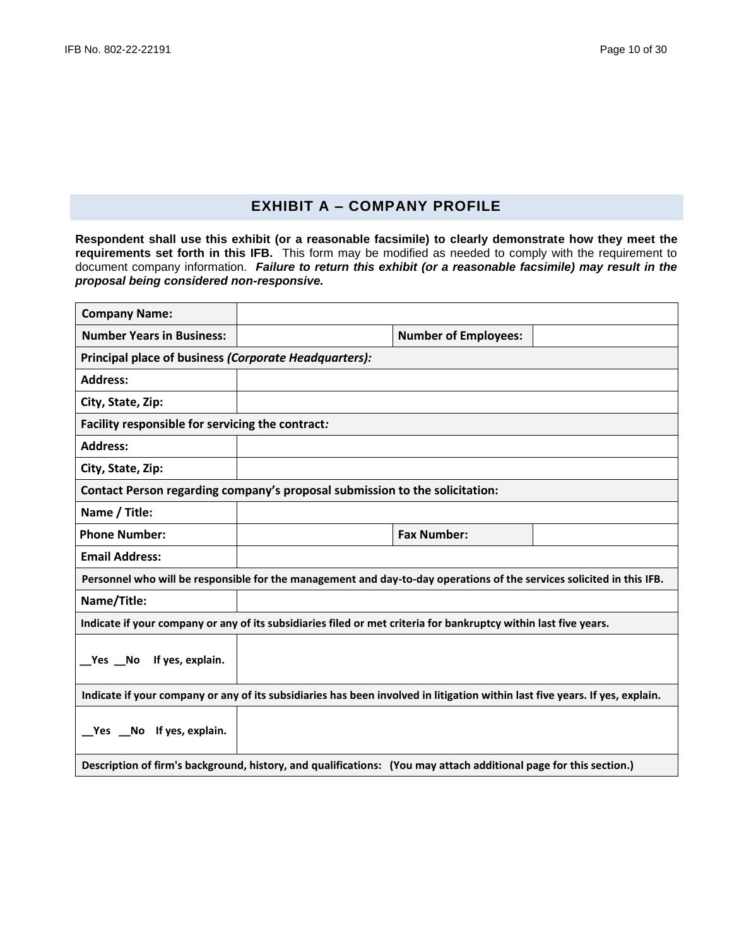# **EXHIBIT A – COMPANY PROFILE**

**Respondent shall use this exhibit (or a reasonable facsimile) to clearly demonstrate how they meet the requirements set forth in this IFB.** This form may be modified as needed to comply with the requirement to document company information. *Failure to return this exhibit (or a reasonable facsimile) may result in the proposal being considered non-responsive.*

| <b>Company Name:</b>                                                                                             |                                                                                                                              |                             |  |
|------------------------------------------------------------------------------------------------------------------|------------------------------------------------------------------------------------------------------------------------------|-----------------------------|--|
| <b>Number Years in Business:</b>                                                                                 |                                                                                                                              | <b>Number of Employees:</b> |  |
| Principal place of business (Corporate Headquarters):                                                            |                                                                                                                              |                             |  |
| <b>Address:</b>                                                                                                  |                                                                                                                              |                             |  |
| City, State, Zip:                                                                                                |                                                                                                                              |                             |  |
| Facility responsible for servicing the contract:                                                                 |                                                                                                                              |                             |  |
| <b>Address:</b>                                                                                                  |                                                                                                                              |                             |  |
| City, State, Zip:                                                                                                |                                                                                                                              |                             |  |
| Contact Person regarding company's proposal submission to the solicitation:                                      |                                                                                                                              |                             |  |
| Name / Title:                                                                                                    |                                                                                                                              |                             |  |
| <b>Phone Number:</b>                                                                                             |                                                                                                                              | <b>Fax Number:</b>          |  |
| <b>Email Address:</b>                                                                                            |                                                                                                                              |                             |  |
|                                                                                                                  | Personnel who will be responsible for the management and day-to-day operations of the services solicited in this IFB.        |                             |  |
| Name/Title:                                                                                                      |                                                                                                                              |                             |  |
| Indicate if your company or any of its subsidiaries filed or met criteria for bankruptcy within last five years. |                                                                                                                              |                             |  |
| Yes No If yes, explain.                                                                                          |                                                                                                                              |                             |  |
|                                                                                                                  | Indicate if your company or any of its subsidiaries has been involved in litigation within last five years. If yes, explain. |                             |  |
| _Yes _No If yes, explain.                                                                                        |                                                                                                                              |                             |  |
|                                                                                                                  | Description of firm's background, history, and qualifications: (You may attach additional page for this section.)            |                             |  |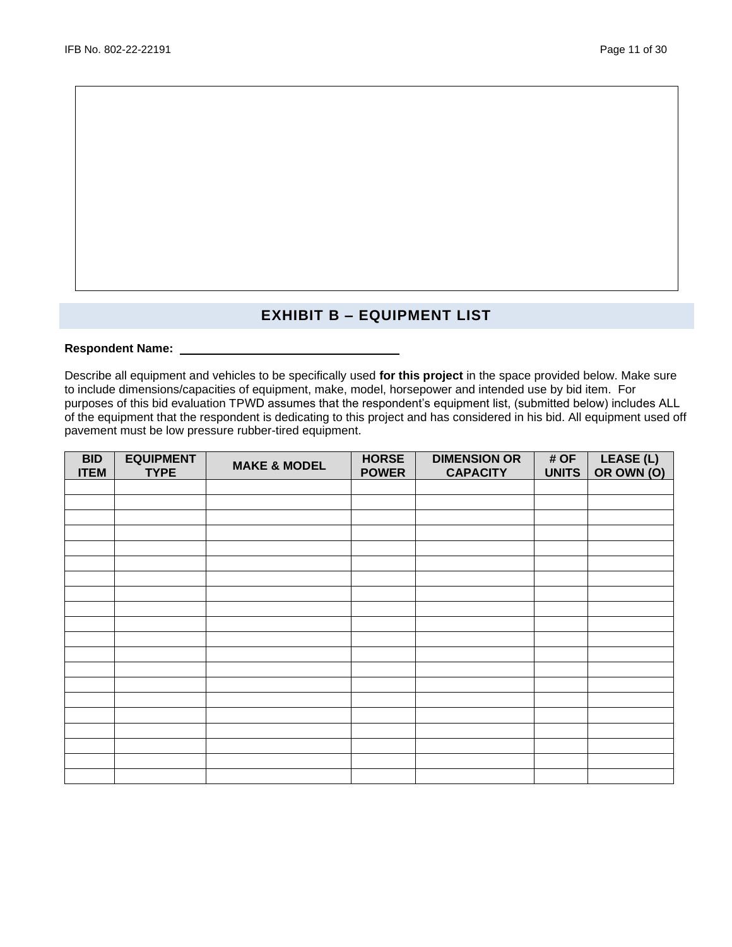# **EXHIBIT B – EQUIPMENT LIST**

# Respondent Name: \_\_\_

Describe all equipment and vehicles to be specifically used **for this project** in the space provided below. Make sure to include dimensions/capacities of equipment, make, model, horsepower and intended use by bid item. For purposes of this bid evaluation TPWD assumes that the respondent's equipment list, (submitted below) includes ALL of the equipment that the respondent is dedicating to this project and has considered in his bid. All equipment used off pavement must be low pressure rubber-tired equipment.

| <b>BID</b><br><b>ITEM</b> | <b>EQUIPMENT</b><br><b>TYPE</b> | <b>MAKE &amp; MODEL</b> | <b>HORSE</b><br><b>POWER</b> | <b>DIMENSION OR</b><br><b>CAPACITY</b> | # OF<br>UNITS | LEASE (L)<br>OR OWN (O) |
|---------------------------|---------------------------------|-------------------------|------------------------------|----------------------------------------|---------------|-------------------------|
|                           |                                 |                         |                              |                                        |               |                         |
|                           |                                 |                         |                              |                                        |               |                         |
|                           |                                 |                         |                              |                                        |               |                         |
|                           |                                 |                         |                              |                                        |               |                         |
|                           |                                 |                         |                              |                                        |               |                         |
|                           |                                 |                         |                              |                                        |               |                         |
|                           |                                 |                         |                              |                                        |               |                         |
|                           |                                 |                         |                              |                                        |               |                         |
|                           |                                 |                         |                              |                                        |               |                         |
|                           |                                 |                         |                              |                                        |               |                         |
|                           |                                 |                         |                              |                                        |               |                         |
|                           |                                 |                         |                              |                                        |               |                         |
|                           |                                 |                         |                              |                                        |               |                         |
|                           |                                 |                         |                              |                                        |               |                         |
|                           |                                 |                         |                              |                                        |               |                         |
|                           |                                 |                         |                              |                                        |               |                         |
|                           |                                 |                         |                              |                                        |               |                         |
|                           |                                 |                         |                              |                                        |               |                         |
|                           |                                 |                         |                              |                                        |               |                         |
|                           |                                 |                         |                              |                                        |               |                         |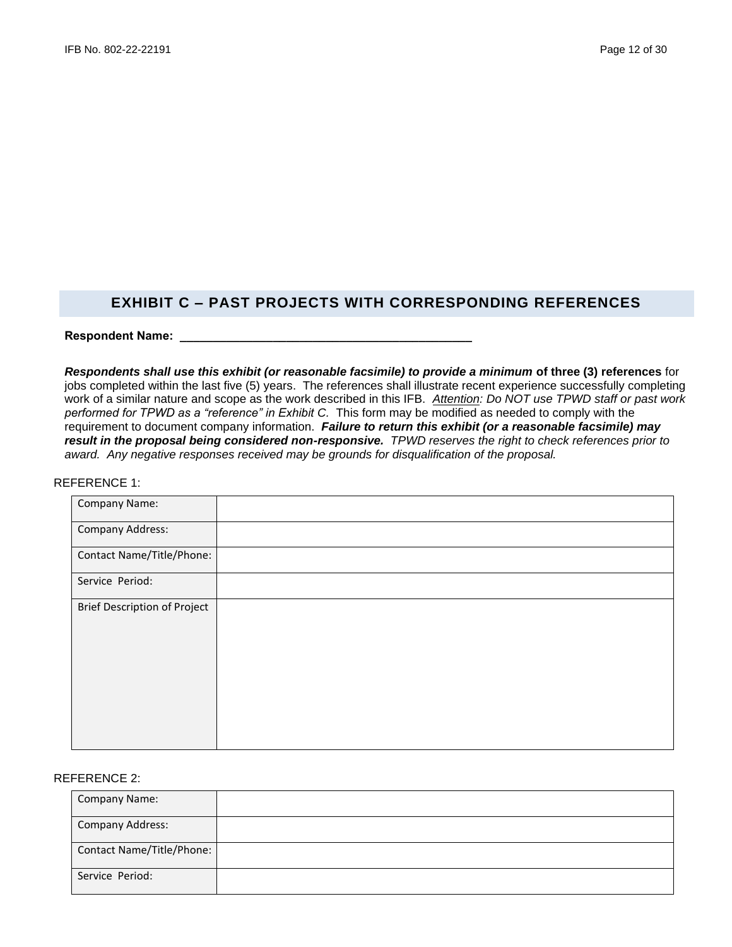# **EXHIBIT C – PAST PROJECTS WITH CORRESPONDING REFERENCES**

**Respondent Name: \_\_\_\_\_\_\_\_\_\_\_\_\_\_\_\_\_\_\_\_\_\_\_\_\_\_\_\_\_\_\_\_\_\_\_\_\_\_\_\_\_\_\_\_**

*Respondents shall use this exhibit (or reasonable facsimile) to provide a minimum* **of three (3) references** for jobs completed within the last five (5) years. The references shall illustrate recent experience successfully completing work of a similar nature and scope as the work described in this IFB. *Attention: Do NOT use TPWD staff or past work*  performed for TPWD as a "reference" in Exhibit C. This form may be modified as needed to comply with the requirement to document company information. *Failure to return this exhibit (or a reasonable facsimile) may result in the proposal being considered non-responsive. TPWD reserves the right to check references prior to award. Any negative responses received may be grounds for disqualification of the proposal.*

## REFERENCE 1:

| Company Name:                       |  |
|-------------------------------------|--|
| Company Address:                    |  |
| Contact Name/Title/Phone:           |  |
| Service Period:                     |  |
| <b>Brief Description of Project</b> |  |

## REFERENCE 2:

| <b>Company Name:</b>      |  |
|---------------------------|--|
| <b>Company Address:</b>   |  |
| Contact Name/Title/Phone: |  |
| Service Period:           |  |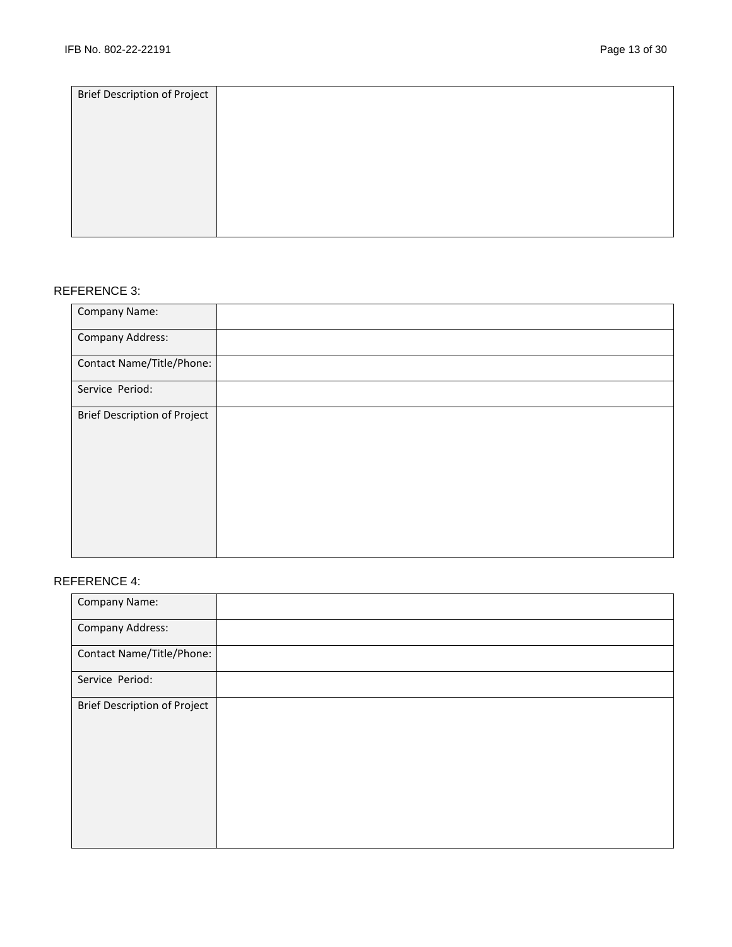| <b>Brief Description of Project</b> |  |
|-------------------------------------|--|
|                                     |  |
|                                     |  |
|                                     |  |
|                                     |  |
|                                     |  |
|                                     |  |
|                                     |  |
|                                     |  |
|                                     |  |
|                                     |  |
|                                     |  |

# REFERENCE 3:

| Company Name:                       |  |
|-------------------------------------|--|
| Company Address:                    |  |
| Contact Name/Title/Phone:           |  |
| Service Period:                     |  |
| <b>Brief Description of Project</b> |  |

# REFERENCE 4:

| Company Name:                       |  |
|-------------------------------------|--|
| Company Address:                    |  |
| Contact Name/Title/Phone:           |  |
| Service Period:                     |  |
| <b>Brief Description of Project</b> |  |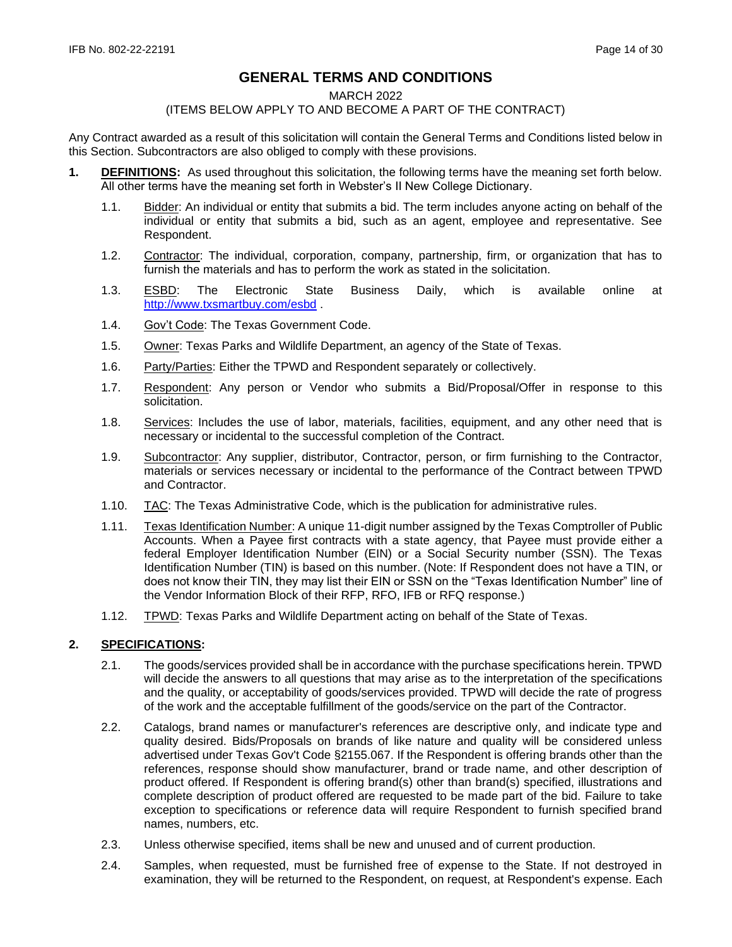# **GENERAL TERMS AND CONDITIONS**

#### MARCH 2022

## (ITEMS BELOW APPLY TO AND BECOME A PART OF THE CONTRACT)

Any Contract awarded as a result of this solicitation will contain the General Terms and Conditions listed below in this Section. Subcontractors are also obliged to comply with these provisions.

- **1. DEFINITIONS:** As used throughout this solicitation, the following terms have the meaning set forth below. All other terms have the meaning set forth in Webster's II New College Dictionary.
	- 1.1. Bidder: An individual or entity that submits a bid. The term includes anyone acting on behalf of the individual or entity that submits a bid, such as an agent, employee and representative. See Respondent.
	- 1.2. Contractor: The individual, corporation, company, partnership, firm, or organization that has to furnish the materials and has to perform the work as stated in the solicitation.
	- 1.3. ESBD: The Electronic State Business Daily, which is available online at <http://www.txsmartbuy.com/esbd> .
	- 1.4. Gov't Code: The Texas Government Code.
	- 1.5. Owner: Texas Parks and Wildlife Department, an agency of the State of Texas.
	- 1.6. Party/Parties: Either the TPWD and Respondent separately or collectively.
	- 1.7. Respondent: Any person or Vendor who submits a Bid/Proposal/Offer in response to this solicitation.
	- 1.8. Services: Includes the use of labor, materials, facilities, equipment, and any other need that is necessary or incidental to the successful completion of the Contract.
	- 1.9. Subcontractor: Any supplier, distributor, Contractor, person, or firm furnishing to the Contractor, materials or services necessary or incidental to the performance of the Contract between TPWD and Contractor.
	- 1.10. TAC: The Texas Administrative Code, which is the publication for administrative rules.
	- 1.11. Texas Identification Number: A unique 11-digit number assigned by the Texas Comptroller of Public Accounts. When a Payee first contracts with a state agency, that Payee must provide either a federal Employer Identification Number (EIN) or a Social Security number (SSN). The Texas Identification Number (TIN) is based on this number. (Note: If Respondent does not have a TIN, or does not know their TIN, they may list their EIN or SSN on the "Texas Identification Number" line of the Vendor Information Block of their RFP, RFO, IFB or RFQ response.)
	- 1.12. TPWD: Texas Parks and Wildlife Department acting on behalf of the State of Texas.

## **2. SPECIFICATIONS:**

- 2.1. The goods/services provided shall be in accordance with the purchase specifications herein. TPWD will decide the answers to all questions that may arise as to the interpretation of the specifications and the quality, or acceptability of goods/services provided. TPWD will decide the rate of progress of the work and the acceptable fulfillment of the goods/service on the part of the Contractor.
- 2.2. Catalogs, brand names or manufacturer's references are descriptive only, and indicate type and quality desired. Bids/Proposals on brands of like nature and quality will be considered unless advertised under Texas Gov't Code §2155.067. If the Respondent is offering brands other than the references, response should show manufacturer, brand or trade name, and other description of product offered. If Respondent is offering brand(s) other than brand(s) specified, illustrations and complete description of product offered are requested to be made part of the bid. Failure to take exception to specifications or reference data will require Respondent to furnish specified brand names, numbers, etc.
- 2.3. Unless otherwise specified, items shall be new and unused and of current production.
- 2.4. Samples, when requested, must be furnished free of expense to the State. If not destroyed in examination, they will be returned to the Respondent, on request, at Respondent's expense. Each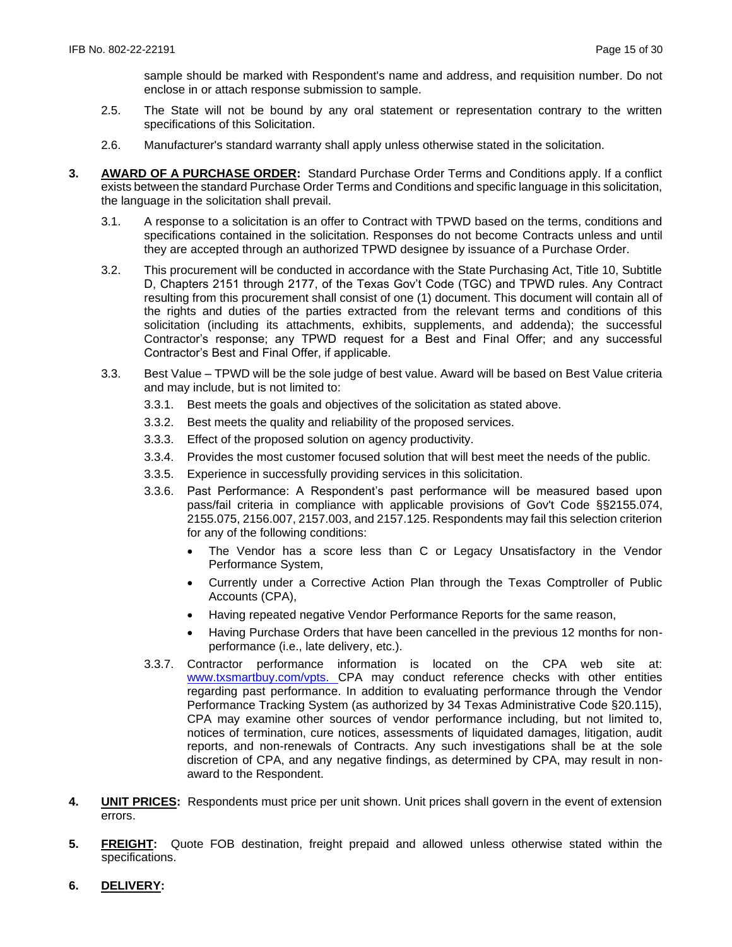sample should be marked with Respondent's name and address, and requisition number. Do not enclose in or attach response submission to sample.

- 2.5. The State will not be bound by any oral statement or representation contrary to the written specifications of this Solicitation.
- 2.6. Manufacturer's standard warranty shall apply unless otherwise stated in the solicitation.
- **3. AWARD OF A PURCHASE ORDER:** Standard Purchase Order Terms and Conditions apply. If a conflict exists between the standard Purchase Order Terms and Conditions and specific language in this solicitation, the language in the solicitation shall prevail.
	- 3.1. A response to a solicitation is an offer to Contract with TPWD based on the terms, conditions and specifications contained in the solicitation. Responses do not become Contracts unless and until they are accepted through an authorized TPWD designee by issuance of a Purchase Order.
	- 3.2. This procurement will be conducted in accordance with the State Purchasing Act, Title 10, Subtitle D, Chapters 2151 through 2177, of the Texas Gov't Code (TGC) and TPWD rules. Any Contract resulting from this procurement shall consist of one (1) document. This document will contain all of the rights and duties of the parties extracted from the relevant terms and conditions of this solicitation (including its attachments, exhibits, supplements, and addenda); the successful Contractor's response; any TPWD request for a Best and Final Offer; and any successful Contractor's Best and Final Offer, if applicable.
	- 3.3. Best Value TPWD will be the sole judge of best value. Award will be based on Best Value criteria and may include, but is not limited to:
		- 3.3.1. Best meets the goals and objectives of the solicitation as stated above.
		- 3.3.2. Best meets the quality and reliability of the proposed services.
		- 3.3.3. Effect of the proposed solution on agency productivity.
		- 3.3.4. Provides the most customer focused solution that will best meet the needs of the public.
		- 3.3.5. Experience in successfully providing services in this solicitation.
		- 3.3.6. Past Performance: A Respondent's past performance will be measured based upon pass/fail criteria in compliance with applicable provisions of Gov't Code §§2155.074, 2155.075, 2156.007, 2157.003, and 2157.125. Respondents may fail this selection criterion for any of the following conditions:
			- The Vendor has a score less than C or Legacy Unsatisfactory in the Vendor Performance System,
			- Currently under a Corrective Action Plan through the Texas Comptroller of Public Accounts (CPA),
			- Having repeated negative Vendor Performance Reports for the same reason,
			- Having Purchase Orders that have been cancelled in the previous 12 months for nonperformance (i.e., late delivery, etc.).
		- 3.3.7. Contractor performance information is located on the CPA web site at: [www.txsmartbuy.com/vpts.](http://www.txsmartbuy.com/vpts) CPA may conduct reference checks with other entities regarding past performance. In addition to evaluating performance through the Vendor Performance Tracking System (as authorized by 34 Texas Administrative Code §20.115), CPA may examine other sources of vendor performance including, but not limited to, notices of termination, cure notices, assessments of liquidated damages, litigation, audit reports, and non-renewals of Contracts. Any such investigations shall be at the sole discretion of CPA, and any negative findings, as determined by CPA, may result in nonaward to the Respondent.
- **4. UNIT PRICES:** Respondents must price per unit shown. Unit prices shall govern in the event of extension errors.
- **5. FREIGHT:** Quote FOB destination, freight prepaid and allowed unless otherwise stated within the specifications.
- **6. DELIVERY:**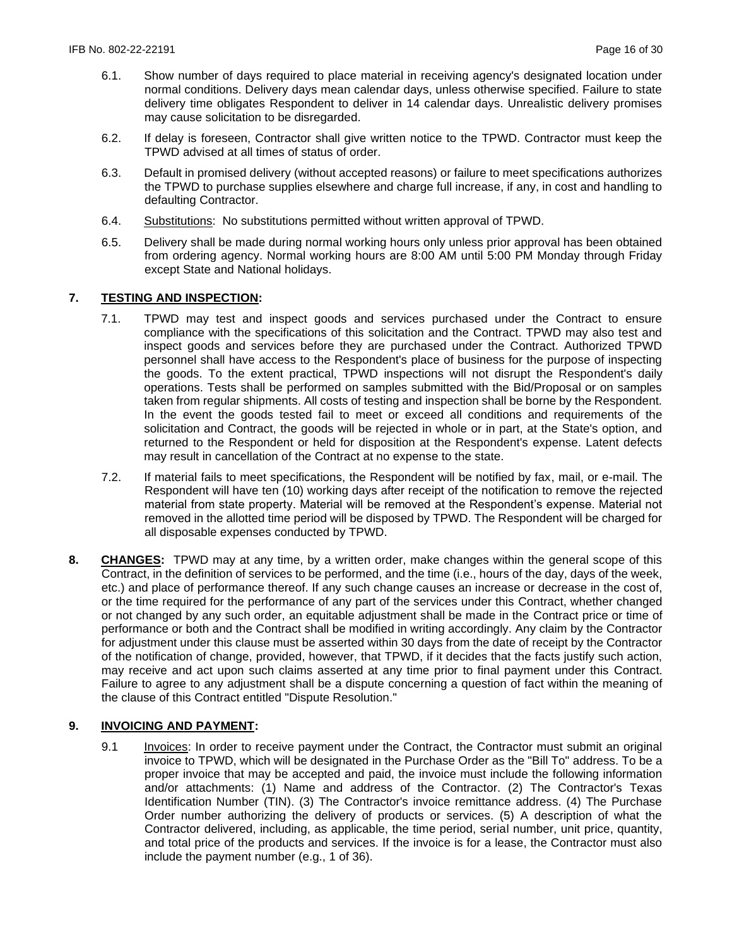- 6.1. Show number of days required to place material in receiving agency's designated location under normal conditions. Delivery days mean calendar days, unless otherwise specified. Failure to state delivery time obligates Respondent to deliver in 14 calendar days. Unrealistic delivery promises may cause solicitation to be disregarded.
- 6.2. If delay is foreseen, Contractor shall give written notice to the TPWD. Contractor must keep the TPWD advised at all times of status of order.
- 6.3. Default in promised delivery (without accepted reasons) or failure to meet specifications authorizes the TPWD to purchase supplies elsewhere and charge full increase, if any, in cost and handling to defaulting Contractor.
- 6.4. Substitutions: No substitutions permitted without written approval of TPWD.
- 6.5. Delivery shall be made during normal working hours only unless prior approval has been obtained from ordering agency. Normal working hours are 8:00 AM until 5:00 PM Monday through Friday except State and National holidays.

# **7. TESTING AND INSPECTION:**

- 7.1. TPWD may test and inspect goods and services purchased under the Contract to ensure compliance with the specifications of this solicitation and the Contract. TPWD may also test and inspect goods and services before they are purchased under the Contract. Authorized TPWD personnel shall have access to the Respondent's place of business for the purpose of inspecting the goods. To the extent practical, TPWD inspections will not disrupt the Respondent's daily operations. Tests shall be performed on samples submitted with the Bid/Proposal or on samples taken from regular shipments. All costs of testing and inspection shall be borne by the Respondent. In the event the goods tested fail to meet or exceed all conditions and requirements of the solicitation and Contract, the goods will be rejected in whole or in part, at the State's option, and returned to the Respondent or held for disposition at the Respondent's expense. Latent defects may result in cancellation of the Contract at no expense to the state.
- 7.2. If material fails to meet specifications, the Respondent will be notified by fax, mail, or e-mail. The Respondent will have ten (10) working days after receipt of the notification to remove the rejected material from state property. Material will be removed at the Respondent's expense. Material not removed in the allotted time period will be disposed by TPWD. The Respondent will be charged for all disposable expenses conducted by TPWD.
- **8. CHANGES:** TPWD may at any time, by a written order, make changes within the general scope of this Contract, in the definition of services to be performed, and the time (i.e., hours of the day, days of the week, etc.) and place of performance thereof. If any such change causes an increase or decrease in the cost of, or the time required for the performance of any part of the services under this Contract, whether changed or not changed by any such order, an equitable adjustment shall be made in the Contract price or time of performance or both and the Contract shall be modified in writing accordingly. Any claim by the Contractor for adjustment under this clause must be asserted within 30 days from the date of receipt by the Contractor of the notification of change, provided, however, that TPWD, if it decides that the facts justify such action, may receive and act upon such claims asserted at any time prior to final payment under this Contract. Failure to agree to any adjustment shall be a dispute concerning a question of fact within the meaning of the clause of this Contract entitled "Dispute Resolution."

# **9. INVOICING AND PAYMENT:**

9.1 Invoices: In order to receive payment under the Contract, the Contractor must submit an original invoice to TPWD, which will be designated in the Purchase Order as the "Bill To" address. To be a proper invoice that may be accepted and paid, the invoice must include the following information and/or attachments: (1) Name and address of the Contractor. (2) The Contractor's Texas Identification Number (TIN). (3) The Contractor's invoice remittance address. (4) The Purchase Order number authorizing the delivery of products or services. (5) A description of what the Contractor delivered, including, as applicable, the time period, serial number, unit price, quantity, and total price of the products and services. If the invoice is for a lease, the Contractor must also include the payment number (e.g., 1 of 36).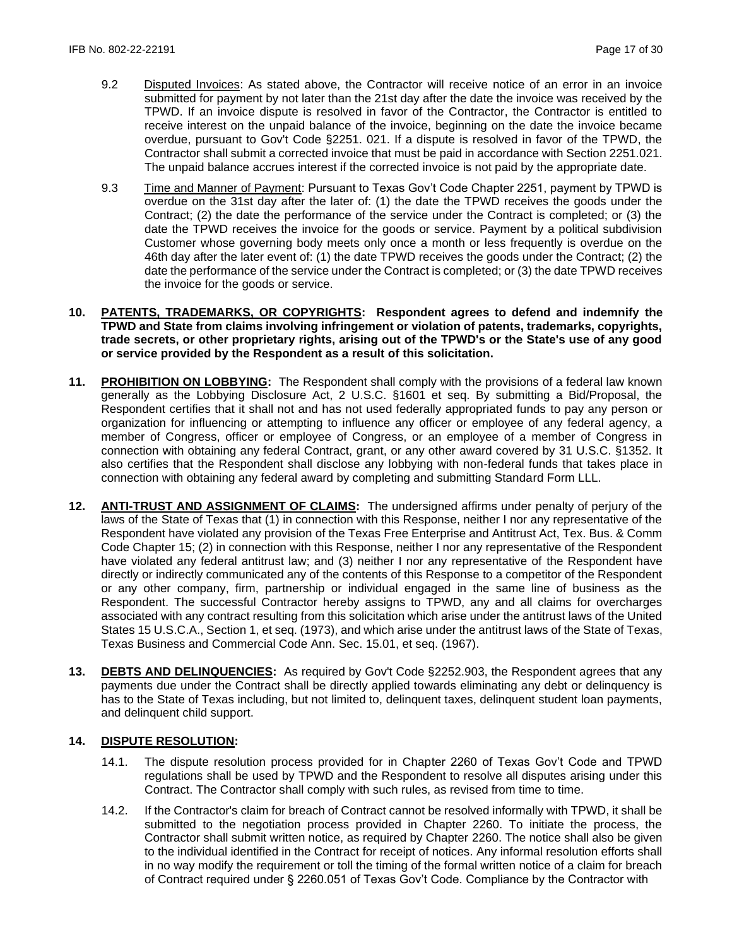- 9.2 Disputed Invoices: As stated above, the Contractor will receive notice of an error in an invoice submitted for payment by not later than the 21st day after the date the invoice was received by the TPWD. If an invoice dispute is resolved in favor of the Contractor, the Contractor is entitled to receive interest on the unpaid balance of the invoice, beginning on the date the invoice became overdue, pursuant to Gov't Code §2251. 021. If a dispute is resolved in favor of the TPWD, the Contractor shall submit a corrected invoice that must be paid in accordance with Section 2251.021. The unpaid balance accrues interest if the corrected invoice is not paid by the appropriate date.
- 9.3 Time and Manner of Payment: Pursuant to Texas Gov't Code Chapter 2251, payment by TPWD is overdue on the 31st day after the later of: (1) the date the TPWD receives the goods under the Contract; (2) the date the performance of the service under the Contract is completed; or (3) the date the TPWD receives the invoice for the goods or service. Payment by a political subdivision Customer whose governing body meets only once a month or less frequently is overdue on the 46th day after the later event of: (1) the date TPWD receives the goods under the Contract; (2) the date the performance of the service under the Contract is completed; or (3) the date TPWD receives the invoice for the goods or service.
- **10. PATENTS, TRADEMARKS, OR COPYRIGHTS: Respondent agrees to defend and indemnify the TPWD and State from claims involving infringement or violation of patents, trademarks, copyrights, trade secrets, or other proprietary rights, arising out of the TPWD's or the State's use of any good or service provided by the Respondent as a result of this solicitation.**
- **11. PROHIBITION ON LOBBYING:** The Respondent shall comply with the provisions of a federal law known generally as the Lobbying Disclosure Act, 2 U.S.C. §1601 et seq. By submitting a Bid/Proposal, the Respondent certifies that it shall not and has not used federally appropriated funds to pay any person or organization for influencing or attempting to influence any officer or employee of any federal agency, a member of Congress, officer or employee of Congress, or an employee of a member of Congress in connection with obtaining any federal Contract, grant, or any other award covered by 31 U.S.C. §1352. It also certifies that the Respondent shall disclose any lobbying with non-federal funds that takes place in connection with obtaining any federal award by completing and submitting Standard Form LLL.
- **12. ANTI-TRUST AND ASSIGNMENT OF CLAIMS:** The undersigned affirms under penalty of perjury of the laws of the State of Texas that (1) in connection with this Response, neither I nor any representative of the Respondent have violated any provision of the Texas Free Enterprise and Antitrust Act, Tex. Bus. & Comm Code Chapter 15; (2) in connection with this Response, neither I nor any representative of the Respondent have violated any federal antitrust law; and (3) neither I nor any representative of the Respondent have directly or indirectly communicated any of the contents of this Response to a competitor of the Respondent or any other company, firm, partnership or individual engaged in the same line of business as the Respondent. The successful Contractor hereby assigns to TPWD, any and all claims for overcharges associated with any contract resulting from this solicitation which arise under the antitrust laws of the United States 15 U.S.C.A., Section 1, et seq. (1973), and which arise under the antitrust laws of the State of Texas, Texas Business and Commercial Code Ann. Sec. 15.01, et seq. (1967).
- **13. DEBTS AND DELINQUENCIES:** As required by Gov't Code §2252.903, the Respondent agrees that any payments due under the Contract shall be directly applied towards eliminating any debt or delinquency is has to the State of Texas including, but not limited to, delinguent taxes, delinguent student loan payments, and delinquent child support.

## **14. DISPUTE RESOLUTION:**

- 14.1. The dispute resolution process provided for in Chapter 2260 of Texas Gov't Code and TPWD regulations shall be used by TPWD and the Respondent to resolve all disputes arising under this Contract. The Contractor shall comply with such rules, as revised from time to time.
- 14.2. If the Contractor's claim for breach of Contract cannot be resolved informally with TPWD, it shall be submitted to the negotiation process provided in Chapter 2260. To initiate the process, the Contractor shall submit written notice, as required by Chapter 2260. The notice shall also be given to the individual identified in the Contract for receipt of notices. Any informal resolution efforts shall in no way modify the requirement or toll the timing of the formal written notice of a claim for breach of Contract required under § 2260.051 of Texas Gov't Code. Compliance by the Contractor with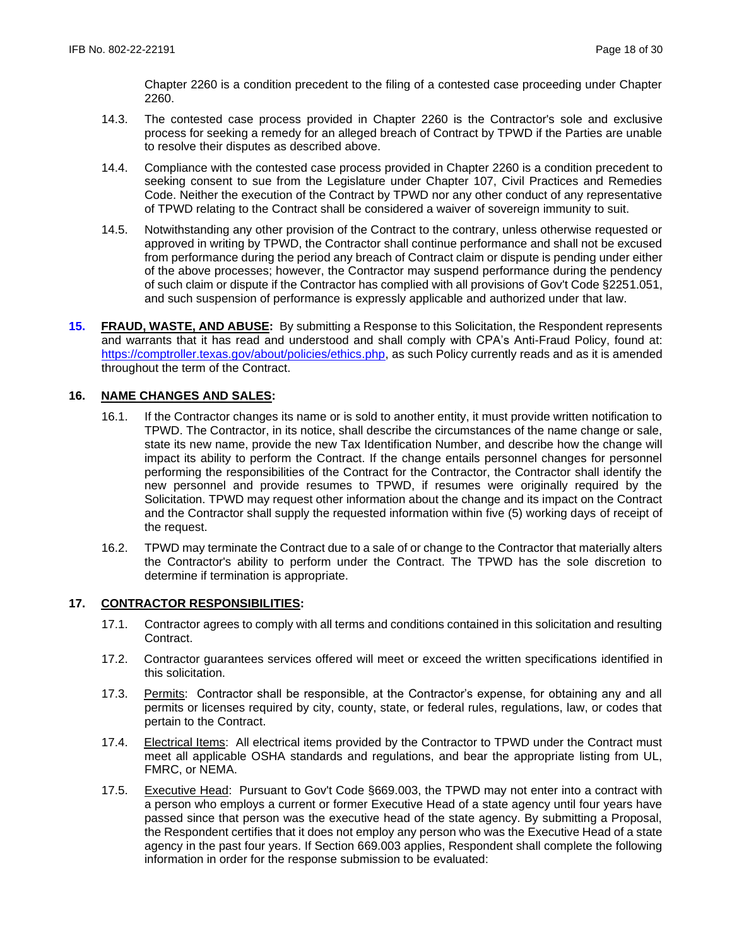Chapter 2260 is a condition precedent to the filing of a contested case proceeding under Chapter 2260.

- 14.3. The contested case process provided in Chapter 2260 is the Contractor's sole and exclusive process for seeking a remedy for an alleged breach of Contract by TPWD if the Parties are unable to resolve their disputes as described above.
- 14.4. Compliance with the contested case process provided in Chapter 2260 is a condition precedent to seeking consent to sue from the Legislature under Chapter 107, Civil Practices and Remedies Code. Neither the execution of the Contract by TPWD nor any other conduct of any representative of TPWD relating to the Contract shall be considered a waiver of sovereign immunity to suit.
- 14.5. Notwithstanding any other provision of the Contract to the contrary, unless otherwise requested or approved in writing by TPWD, the Contractor shall continue performance and shall not be excused from performance during the period any breach of Contract claim or dispute is pending under either of the above processes; however, the Contractor may suspend performance during the pendency of such claim or dispute if the Contractor has complied with all provisions of Gov't Code §2251.051, and such suspension of performance is expressly applicable and authorized under that law.
- **15. FRAUD, WASTE, AND ABUSE:** By submitting a Response to this Solicitation, the Respondent represents and warrants that it has read and understood and shall comply with CPA's Anti-Fraud Policy, found at: https://comptroller.texas.gov/about/policies/ethics.php, as such Policy currently reads and as it is amended throughout the term of the Contract.

# **16. NAME CHANGES AND SALES:**

- 16.1. If the Contractor changes its name or is sold to another entity, it must provide written notification to TPWD. The Contractor, in its notice, shall describe the circumstances of the name change or sale, state its new name, provide the new Tax Identification Number, and describe how the change will impact its ability to perform the Contract. If the change entails personnel changes for personnel performing the responsibilities of the Contract for the Contractor, the Contractor shall identify the new personnel and provide resumes to TPWD, if resumes were originally required by the Solicitation. TPWD may request other information about the change and its impact on the Contract and the Contractor shall supply the requested information within five (5) working days of receipt of the request.
- 16.2. TPWD may terminate the Contract due to a sale of or change to the Contractor that materially alters the Contractor's ability to perform under the Contract. The TPWD has the sole discretion to determine if termination is appropriate.

#### **17. CONTRACTOR RESPONSIBILITIES:**

- 17.1. Contractor agrees to comply with all terms and conditions contained in this solicitation and resulting Contract.
- 17.2. Contractor guarantees services offered will meet or exceed the written specifications identified in this solicitation.
- 17.3. Permits: Contractor shall be responsible, at the Contractor's expense, for obtaining any and all permits or licenses required by city, county, state, or federal rules, regulations, law, or codes that pertain to the Contract.
- 17.4. Electrical Items: All electrical items provided by the Contractor to TPWD under the Contract must meet all applicable OSHA standards and regulations, and bear the appropriate listing from UL, FMRC, or NEMA.
- 17.5. Executive Head: Pursuant to Gov't Code §669.003, the TPWD may not enter into a contract with a person who employs a current or former Executive Head of a state agency until four years have passed since that person was the executive head of the state agency. By submitting a Proposal, the Respondent certifies that it does not employ any person who was the Executive Head of a state agency in the past four years. If Section 669.003 applies, Respondent shall complete the following information in order for the response submission to be evaluated: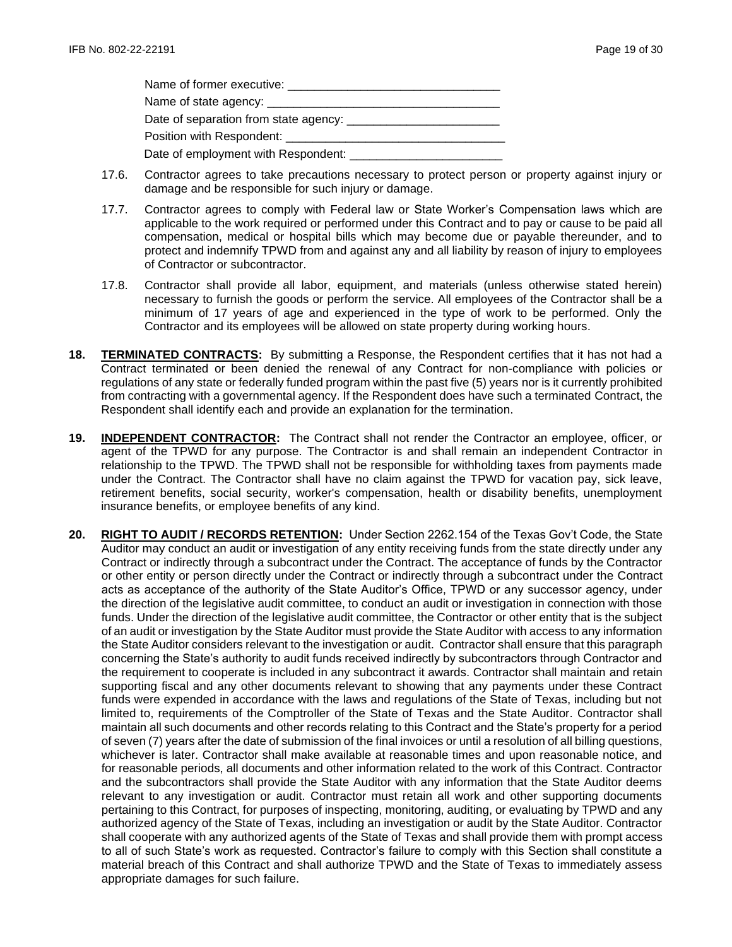| Name of former executive: Name of former executive: |
|-----------------------------------------------------|
|                                                     |
|                                                     |
| Position with Respondent: _______________           |
|                                                     |

- 17.6. Contractor agrees to take precautions necessary to protect person or property against injury or damage and be responsible for such injury or damage.
- 17.7. Contractor agrees to comply with Federal law or State Worker's Compensation laws which are applicable to the work required or performed under this Contract and to pay or cause to be paid all compensation, medical or hospital bills which may become due or payable thereunder, and to protect and indemnify TPWD from and against any and all liability by reason of injury to employees of Contractor or subcontractor.
- 17.8. Contractor shall provide all labor, equipment, and materials (unless otherwise stated herein) necessary to furnish the goods or perform the service. All employees of the Contractor shall be a minimum of 17 years of age and experienced in the type of work to be performed. Only the Contractor and its employees will be allowed on state property during working hours.
- **18. TERMINATED CONTRACTS:** By submitting a Response, the Respondent certifies that it has not had a Contract terminated or been denied the renewal of any Contract for non-compliance with policies or regulations of any state or federally funded program within the past five (5) years nor is it currently prohibited from contracting with a governmental agency. If the Respondent does have such a terminated Contract, the Respondent shall identify each and provide an explanation for the termination.
- **19. INDEPENDENT CONTRACTOR:** The Contract shall not render the Contractor an employee, officer, or agent of the TPWD for any purpose. The Contractor is and shall remain an independent Contractor in relationship to the TPWD. The TPWD shall not be responsible for withholding taxes from payments made under the Contract. The Contractor shall have no claim against the TPWD for vacation pay, sick leave, retirement benefits, social security, worker's compensation, health or disability benefits, unemployment insurance benefits, or employee benefits of any kind.
- **20. RIGHT TO AUDIT / RECORDS RETENTION:** Under Section 2262.154 of the Texas Gov't Code, the State Auditor may conduct an audit or investigation of any entity receiving funds from the state directly under any Contract or indirectly through a subcontract under the Contract. The acceptance of funds by the Contractor or other entity or person directly under the Contract or indirectly through a subcontract under the Contract acts as acceptance of the authority of the State Auditor's Office, TPWD or any successor agency, under the direction of the legislative audit committee, to conduct an audit or investigation in connection with those funds. Under the direction of the legislative audit committee, the Contractor or other entity that is the subject of an audit or investigation by the State Auditor must provide the State Auditor with access to any information the State Auditor considers relevant to the investigation or audit. Contractor shall ensure that this paragraph concerning the State's authority to audit funds received indirectly by subcontractors through Contractor and the requirement to cooperate is included in any subcontract it awards. Contractor shall maintain and retain supporting fiscal and any other documents relevant to showing that any payments under these Contract funds were expended in accordance with the laws and regulations of the State of Texas, including but not limited to, requirements of the Comptroller of the State of Texas and the State Auditor. Contractor shall maintain all such documents and other records relating to this Contract and the State's property for a period of seven (7) years after the date of submission of the final invoices or until a resolution of all billing questions, whichever is later. Contractor shall make available at reasonable times and upon reasonable notice, and for reasonable periods, all documents and other information related to the work of this Contract. Contractor and the subcontractors shall provide the State Auditor with any information that the State Auditor deems relevant to any investigation or audit. Contractor must retain all work and other supporting documents pertaining to this Contract, for purposes of inspecting, monitoring, auditing, or evaluating by TPWD and any authorized agency of the State of Texas, including an investigation or audit by the State Auditor. Contractor shall cooperate with any authorized agents of the State of Texas and shall provide them with prompt access to all of such State's work as requested. Contractor's failure to comply with this Section shall constitute a material breach of this Contract and shall authorize TPWD and the State of Texas to immediately assess appropriate damages for such failure.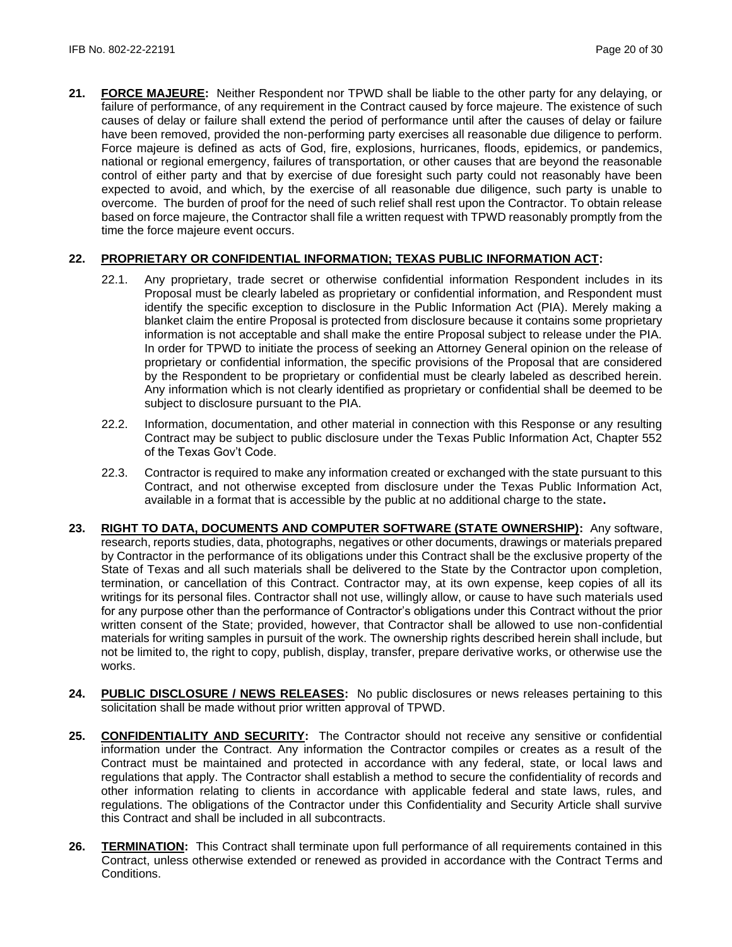**21. FORCE MAJEURE:** Neither Respondent nor TPWD shall be liable to the other party for any delaying, or failure of performance, of any requirement in the Contract caused by force majeure. The existence of such causes of delay or failure shall extend the period of performance until after the causes of delay or failure have been removed, provided the non-performing party exercises all reasonable due diligence to perform. Force majeure is defined as acts of God, fire, explosions, hurricanes, floods, epidemics, or pandemics, national or regional emergency, failures of transportation, or other causes that are beyond the reasonable control of either party and that by exercise of due foresight such party could not reasonably have been expected to avoid, and which, by the exercise of all reasonable due diligence, such party is unable to overcome. The burden of proof for the need of such relief shall rest upon the Contractor. To obtain release based on force majeure, the Contractor shall file a written request with TPWD reasonably promptly from the time the force majeure event occurs.

# **22. PROPRIETARY OR CONFIDENTIAL INFORMATION; TEXAS PUBLIC INFORMATION ACT:**

- 22.1. Any proprietary, trade secret or otherwise confidential information Respondent includes in its Proposal must be clearly labeled as proprietary or confidential information, and Respondent must identify the specific exception to disclosure in the Public Information Act (PIA). Merely making a blanket claim the entire Proposal is protected from disclosure because it contains some proprietary information is not acceptable and shall make the entire Proposal subject to release under the PIA. In order for TPWD to initiate the process of seeking an Attorney General opinion on the release of proprietary or confidential information, the specific provisions of the Proposal that are considered by the Respondent to be proprietary or confidential must be clearly labeled as described herein. Any information which is not clearly identified as proprietary or confidential shall be deemed to be subject to disclosure pursuant to the PIA.
- 22.2. Information, documentation, and other material in connection with this Response or any resulting Contract may be subject to public disclosure under the Texas Public Information Act, Chapter 552 of the Texas Gov't Code.
- 22.3. Contractor is required to make any information created or exchanged with the state pursuant to this Contract, and not otherwise excepted from disclosure under the Texas Public Information Act, available in a format that is accessible by the public at no additional charge to the state**.**
- **23. RIGHT TO DATA, DOCUMENTS AND COMPUTER SOFTWARE (STATE OWNERSHIP):** Any software, research, reports studies, data, photographs, negatives or other documents, drawings or materials prepared by Contractor in the performance of its obligations under this Contract shall be the exclusive property of the State of Texas and all such materials shall be delivered to the State by the Contractor upon completion, termination, or cancellation of this Contract. Contractor may, at its own expense, keep copies of all its writings for its personal files. Contractor shall not use, willingly allow, or cause to have such materials used for any purpose other than the performance of Contractor's obligations under this Contract without the prior written consent of the State; provided, however, that Contractor shall be allowed to use non-confidential materials for writing samples in pursuit of the work. The ownership rights described herein shall include, but not be limited to, the right to copy, publish, display, transfer, prepare derivative works, or otherwise use the works.
- **24. PUBLIC DISCLOSURE / NEWS RELEASES:** No public disclosures or news releases pertaining to this solicitation shall be made without prior written approval of TPWD.
- **25. CONFIDENTIALITY AND SECURITY:** The Contractor should not receive any sensitive or confidential information under the Contract. Any information the Contractor compiles or creates as a result of the Contract must be maintained and protected in accordance with any federal, state, or local laws and regulations that apply. The Contractor shall establish a method to secure the confidentiality of records and other information relating to clients in accordance with applicable federal and state laws, rules, and regulations. The obligations of the Contractor under this Confidentiality and Security Article shall survive this Contract and shall be included in all subcontracts.
- **26. TERMINATION:** This Contract shall terminate upon full performance of all requirements contained in this Contract, unless otherwise extended or renewed as provided in accordance with the Contract Terms and Conditions.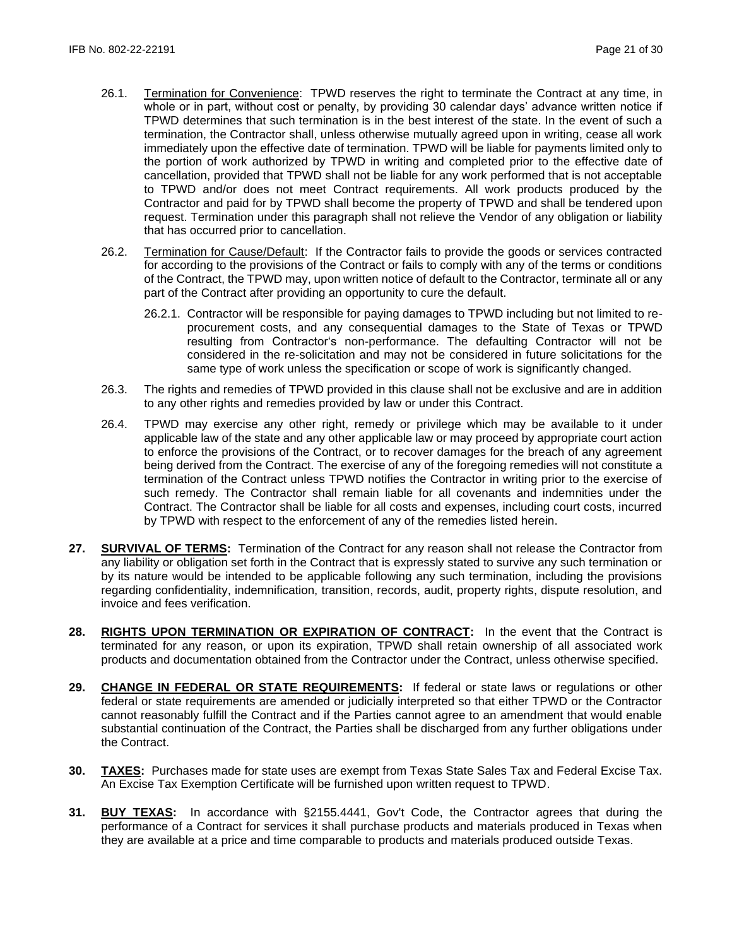- 26.1. Termination for Convenience: TPWD reserves the right to terminate the Contract at any time, in whole or in part, without cost or penalty, by providing 30 calendar days' advance written notice if TPWD determines that such termination is in the best interest of the state. In the event of such a termination, the Contractor shall, unless otherwise mutually agreed upon in writing, cease all work immediately upon the effective date of termination. TPWD will be liable for payments limited only to the portion of work authorized by TPWD in writing and completed prior to the effective date of cancellation, provided that TPWD shall not be liable for any work performed that is not acceptable to TPWD and/or does not meet Contract requirements. All work products produced by the Contractor and paid for by TPWD shall become the property of TPWD and shall be tendered upon request. Termination under this paragraph shall not relieve the Vendor of any obligation or liability that has occurred prior to cancellation.
- 26.2. Termination for Cause/Default: If the Contractor fails to provide the goods or services contracted for according to the provisions of the Contract or fails to comply with any of the terms or conditions of the Contract, the TPWD may, upon written notice of default to the Contractor, terminate all or any part of the Contract after providing an opportunity to cure the default.
	- 26.2.1. Contractor will be responsible for paying damages to TPWD including but not limited to reprocurement costs, and any consequential damages to the State of Texas or TPWD resulting from Contractor's non-performance. The defaulting Contractor will not be considered in the re-solicitation and may not be considered in future solicitations for the same type of work unless the specification or scope of work is significantly changed.
- 26.3. The rights and remedies of TPWD provided in this clause shall not be exclusive and are in addition to any other rights and remedies provided by law or under this Contract.
- 26.4. TPWD may exercise any other right, remedy or privilege which may be available to it under applicable law of the state and any other applicable law or may proceed by appropriate court action to enforce the provisions of the Contract, or to recover damages for the breach of any agreement being derived from the Contract. The exercise of any of the foregoing remedies will not constitute a termination of the Contract unless TPWD notifies the Contractor in writing prior to the exercise of such remedy. The Contractor shall remain liable for all covenants and indemnities under the Contract. The Contractor shall be liable for all costs and expenses, including court costs, incurred by TPWD with respect to the enforcement of any of the remedies listed herein.
- **27. SURVIVAL OF TERMS:** Termination of the Contract for any reason shall not release the Contractor from any liability or obligation set forth in the Contract that is expressly stated to survive any such termination or by its nature would be intended to be applicable following any such termination, including the provisions regarding confidentiality, indemnification, transition, records, audit, property rights, dispute resolution, and invoice and fees verification.
- **28. RIGHTS UPON TERMINATION OR EXPIRATION OF CONTRACT:** In the event that the Contract is terminated for any reason, or upon its expiration, TPWD shall retain ownership of all associated work products and documentation obtained from the Contractor under the Contract, unless otherwise specified.
- **29. CHANGE IN FEDERAL OR STATE REQUIREMENTS:** If federal or state laws or regulations or other federal or state requirements are amended or judicially interpreted so that either TPWD or the Contractor cannot reasonably fulfill the Contract and if the Parties cannot agree to an amendment that would enable substantial continuation of the Contract, the Parties shall be discharged from any further obligations under the Contract.
- **30. TAXES:** Purchases made for state uses are exempt from Texas State Sales Tax and Federal Excise Tax. An Excise Tax Exemption Certificate will be furnished upon written request to TPWD.
- **31. BUY TEXAS:** In accordance with §2155.4441, Gov't Code, the Contractor agrees that during the performance of a Contract for services it shall purchase products and materials produced in Texas when they are available at a price and time comparable to products and materials produced outside Texas.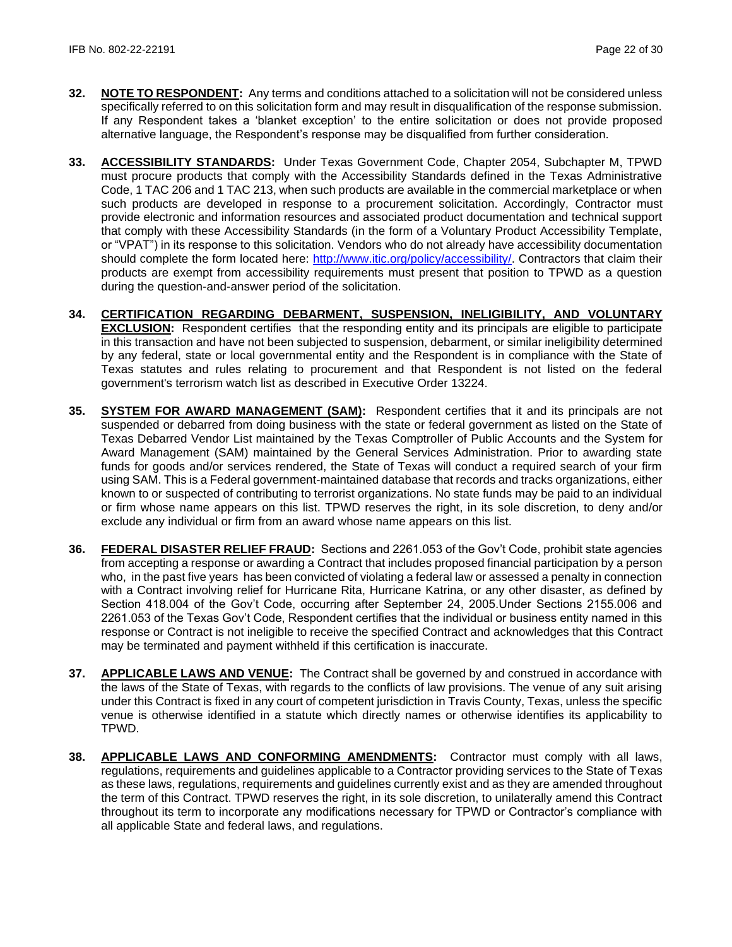- **32. NOTE TO RESPONDENT:** Any terms and conditions attached to a solicitation will not be considered unless specifically referred to on this solicitation form and may result in disqualification of the response submission. If any Respondent takes a 'blanket exception' to the entire solicitation or does not provide proposed alternative language, the Respondent's response may be disqualified from further consideration.
- **33. ACCESSIBILITY STANDARDS:** Under Texas Government Code, Chapter 2054, Subchapter M, TPWD must procure products that comply with the Accessibility Standards defined in the Texas Administrative Code, 1 TAC 206 and 1 TAC 213, when such products are available in the commercial marketplace or when such products are developed in response to a procurement solicitation. Accordingly, Contractor must provide electronic and information resources and associated product documentation and technical support that comply with these Accessibility Standards (in the form of a Voluntary Product Accessibility Template, or "VPAT") in its response to this solicitation. Vendors who do not already have accessibility documentation should complete the form located here: [http://www.itic.org/policy/accessibility/.](http://www.itic.org/policy/accessibility/) Contractors that claim their products are exempt from accessibility requirements must present that position to TPWD as a question during the question-and-answer period of the solicitation.
- **34. CERTIFICATION REGARDING DEBARMENT, SUSPENSION, INELIGIBILITY, AND VOLUNTARY EXCLUSION:** Respondent certifies that the responding entity and its principals are eligible to participate in this transaction and have not been subjected to suspension, debarment, or similar ineligibility determined by any federal, state or local governmental entity and the Respondent is in compliance with the State of Texas statutes and rules relating to procurement and that Respondent is not listed on the federal government's terrorism watch list as described in Executive Order 13224.
- **35. SYSTEM FOR AWARD MANAGEMENT (SAM):** Respondent certifies that it and its principals are not suspended or debarred from doing business with the state or federal government as listed on the State of Texas Debarred Vendor List maintained by the Texas Comptroller of Public Accounts and the System for Award Management (SAM) maintained by the General Services Administration. Prior to awarding state funds for goods and/or services rendered, the State of Texas will conduct a required search of your firm using SAM. This is a Federal government-maintained database that records and tracks organizations, either known to or suspected of contributing to terrorist organizations. No state funds may be paid to an individual or firm whose name appears on this list. TPWD reserves the right, in its sole discretion, to deny and/or exclude any individual or firm from an award whose name appears on this list.
- **36. FEDERAL DISASTER RELIEF FRAUD:** Sections and 2261.053 of the Gov't Code, prohibit state agencies from accepting a response or awarding a Contract that includes proposed financial participation by a person who, in the past five years has been convicted of violating a federal law or assessed a penalty in connection with a Contract involving relief for Hurricane Rita, Hurricane Katrina, or any other disaster, as defined by Section 418.004 of the Gov't Code, occurring after September 24, 2005.Under Sections 2155.006 and 2261.053 of the Texas Gov't Code, Respondent certifies that the individual or business entity named in this response or Contract is not ineligible to receive the specified Contract and acknowledges that this Contract may be terminated and payment withheld if this certification is inaccurate.
- **37. APPLICABLE LAWS AND VENUE:** The Contract shall be governed by and construed in accordance with the laws of the State of Texas, with regards to the conflicts of law provisions. The venue of any suit arising under this Contract is fixed in any court of competent jurisdiction in Travis County, Texas, unless the specific venue is otherwise identified in a statute which directly names or otherwise identifies its applicability to TPWD.
- **38. APPLICABLE LAWS AND CONFORMING AMENDMENTS:** Contractor must comply with all laws, regulations, requirements and guidelines applicable to a Contractor providing services to the State of Texas as these laws, regulations, requirements and guidelines currently exist and as they are amended throughout the term of this Contract. TPWD reserves the right, in its sole discretion, to unilaterally amend this Contract throughout its term to incorporate any modifications necessary for TPWD or Contractor's compliance with all applicable State and federal laws, and regulations.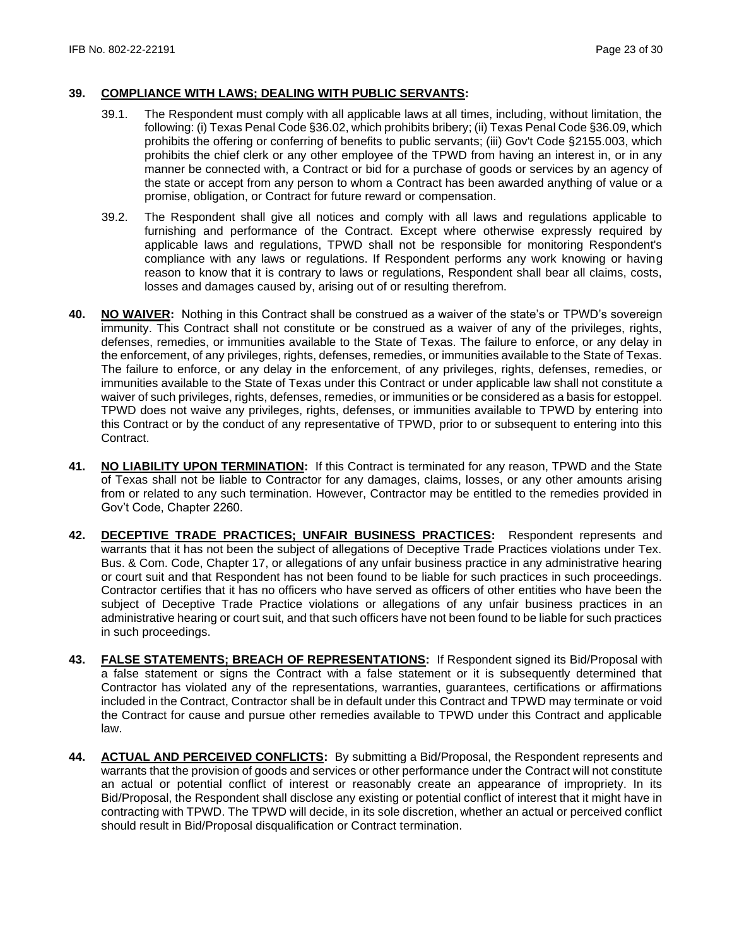### **39. COMPLIANCE WITH LAWS; DEALING WITH PUBLIC SERVANTS:**

- 39.1. The Respondent must comply with all applicable laws at all times, including, without limitation, the following: (i) Texas Penal Code §36.02, which prohibits bribery; (ii) Texas Penal Code §36.09, which prohibits the offering or conferring of benefits to public servants; (iii) Gov't Code §2155.003, which prohibits the chief clerk or any other employee of the TPWD from having an interest in, or in any manner be connected with, a Contract or bid for a purchase of goods or services by an agency of the state or accept from any person to whom a Contract has been awarded anything of value or a promise, obligation, or Contract for future reward or compensation.
- 39.2. The Respondent shall give all notices and comply with all laws and regulations applicable to furnishing and performance of the Contract. Except where otherwise expressly required by applicable laws and regulations, TPWD shall not be responsible for monitoring Respondent's compliance with any laws or regulations. If Respondent performs any work knowing or having reason to know that it is contrary to laws or regulations, Respondent shall bear all claims, costs, losses and damages caused by, arising out of or resulting therefrom.
- **40. NO WAIVER:** Nothing in this Contract shall be construed as a waiver of the state's or TPWD's sovereign immunity. This Contract shall not constitute or be construed as a waiver of any of the privileges, rights, defenses, remedies, or immunities available to the State of Texas. The failure to enforce, or any delay in the enforcement, of any privileges, rights, defenses, remedies, or immunities available to the State of Texas. The failure to enforce, or any delay in the enforcement, of any privileges, rights, defenses, remedies, or immunities available to the State of Texas under this Contract or under applicable law shall not constitute a waiver of such privileges, rights, defenses, remedies, or immunities or be considered as a basis for estoppel. TPWD does not waive any privileges, rights, defenses, or immunities available to TPWD by entering into this Contract or by the conduct of any representative of TPWD, prior to or subsequent to entering into this Contract.
- **41. NO LIABILITY UPON TERMINATION:** If this Contract is terminated for any reason, TPWD and the State of Texas shall not be liable to Contractor for any damages, claims, losses, or any other amounts arising from or related to any such termination. However, Contractor may be entitled to the remedies provided in Gov't Code, Chapter 2260.
- **42. DECEPTIVE TRADE PRACTICES; UNFAIR BUSINESS PRACTICES:** Respondent represents and warrants that it has not been the subject of allegations of Deceptive Trade Practices violations under Tex. Bus. & Com. Code, Chapter 17, or allegations of any unfair business practice in any administrative hearing or court suit and that Respondent has not been found to be liable for such practices in such proceedings. Contractor certifies that it has no officers who have served as officers of other entities who have been the subject of Deceptive Trade Practice violations or allegations of any unfair business practices in an administrative hearing or court suit, and that such officers have not been found to be liable for such practices in such proceedings.
- **43. FALSE STATEMENTS; BREACH OF REPRESENTATIONS:** If Respondent signed its Bid/Proposal with a false statement or signs the Contract with a false statement or it is subsequently determined that Contractor has violated any of the representations, warranties, guarantees, certifications or affirmations included in the Contract, Contractor shall be in default under this Contract and TPWD may terminate or void the Contract for cause and pursue other remedies available to TPWD under this Contract and applicable law.
- **44. ACTUAL AND PERCEIVED CONFLICTS:** By submitting a Bid/Proposal, the Respondent represents and warrants that the provision of goods and services or other performance under the Contract will not constitute an actual or potential conflict of interest or reasonably create an appearance of impropriety. In its Bid/Proposal, the Respondent shall disclose any existing or potential conflict of interest that it might have in contracting with TPWD. The TPWD will decide, in its sole discretion, whether an actual or perceived conflict should result in Bid/Proposal disqualification or Contract termination.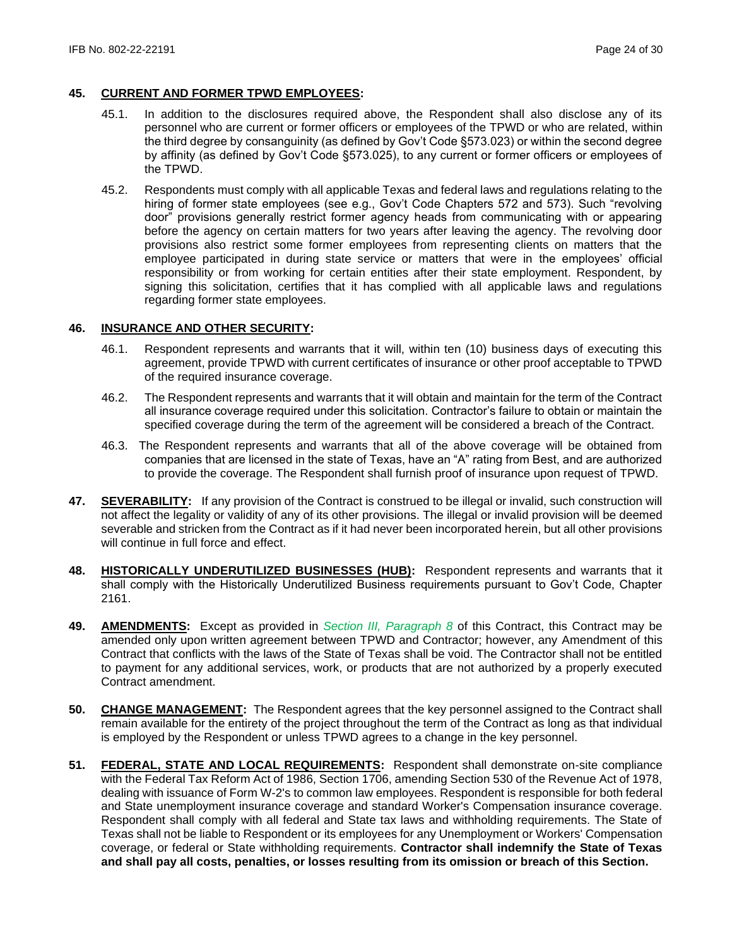## **45. CURRENT AND FORMER TPWD EMPLOYEES:**

- 45.1. In addition to the disclosures required above, the Respondent shall also disclose any of its personnel who are current or former officers or employees of the TPWD or who are related, within the third degree by consanguinity (as defined by Gov't Code §573.023) or within the second degree by affinity (as defined by Gov't Code §573.025), to any current or former officers or employees of the TPWD.
- 45.2. Respondents must comply with all applicable Texas and federal laws and regulations relating to the hiring of former state employees (see e.g., Gov't Code Chapters 572 and 573). Such "revolving door" provisions generally restrict former agency heads from communicating with or appearing before the agency on certain matters for two years after leaving the agency. The revolving door provisions also restrict some former employees from representing clients on matters that the employee participated in during state service or matters that were in the employees' official responsibility or from working for certain entities after their state employment. Respondent, by signing this solicitation, certifies that it has complied with all applicable laws and regulations regarding former state employees.

## **46. INSURANCE AND OTHER SECURITY:**

- 46.1. Respondent represents and warrants that it will, within ten (10) business days of executing this agreement, provide TPWD with current certificates of insurance or other proof acceptable to TPWD of the required insurance coverage.
- 46.2. The Respondent represents and warrants that it will obtain and maintain for the term of the Contract all insurance coverage required under this solicitation. Contractor's failure to obtain or maintain the specified coverage during the term of the agreement will be considered a breach of the Contract.
- 46.3. The Respondent represents and warrants that all of the above coverage will be obtained from companies that are licensed in the state of Texas, have an "A" rating from Best, and are authorized to provide the coverage. The Respondent shall furnish proof of insurance upon request of TPWD.
- **47. SEVERABILITY:** If any provision of the Contract is construed to be illegal or invalid, such construction will not affect the legality or validity of any of its other provisions. The illegal or invalid provision will be deemed severable and stricken from the Contract as if it had never been incorporated herein, but all other provisions will continue in full force and effect.
- **48. HISTORICALLY UNDERUTILIZED BUSINESSES (HUB):** Respondent represents and warrants that it shall comply with the Historically Underutilized Business requirements pursuant to Gov't Code, Chapter 2161.
- **49. AMENDMENTS:** Except as provided in *Section III, Paragraph 8* of this Contract, this Contract may be amended only upon written agreement between TPWD and Contractor; however, any Amendment of this Contract that conflicts with the laws of the State of Texas shall be void. The Contractor shall not be entitled to payment for any additional services, work, or products that are not authorized by a properly executed Contract amendment.
- **50. CHANGE MANAGEMENT:** The Respondent agrees that the key personnel assigned to the Contract shall remain available for the entirety of the project throughout the term of the Contract as long as that individual is employed by the Respondent or unless TPWD agrees to a change in the key personnel.
- **51. FEDERAL, STATE AND LOCAL REQUIREMENTS:** Respondent shall demonstrate on-site compliance with the Federal Tax Reform Act of 1986, Section 1706, amending Section 530 of the Revenue Act of 1978, dealing with issuance of Form W-2's to common law employees. Respondent is responsible for both federal and State unemployment insurance coverage and standard Worker's Compensation insurance coverage. Respondent shall comply with all federal and State tax laws and withholding requirements. The State of Texas shall not be liable to Respondent or its employees for any Unemployment or Workers' Compensation coverage, or federal or State withholding requirements. **Contractor shall indemnify the State of Texas and shall pay all costs, penalties, or losses resulting from its omission or breach of this Section.**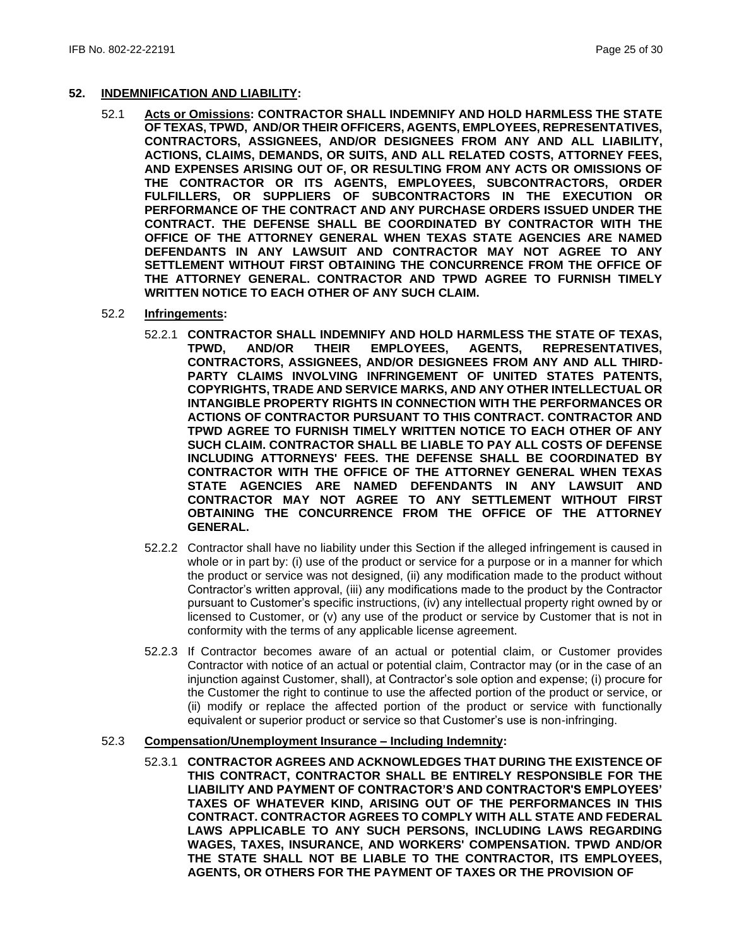### **52. INDEMNIFICATION AND LIABILITY:**

52.1 **Acts or Omissions: CONTRACTOR SHALL INDEMNIFY AND HOLD HARMLESS THE STATE OF TEXAS, TPWD, AND/OR THEIR OFFICERS, AGENTS, EMPLOYEES, REPRESENTATIVES, CONTRACTORS, ASSIGNEES, AND/OR DESIGNEES FROM ANY AND ALL LIABILITY, ACTIONS, CLAIMS, DEMANDS, OR SUITS, AND ALL RELATED COSTS, ATTORNEY FEES, AND EXPENSES ARISING OUT OF, OR RESULTING FROM ANY ACTS OR OMISSIONS OF THE CONTRACTOR OR ITS AGENTS, EMPLOYEES, SUBCONTRACTORS, ORDER FULFILLERS, OR SUPPLIERS OF SUBCONTRACTORS IN THE EXECUTION OR PERFORMANCE OF THE CONTRACT AND ANY PURCHASE ORDERS ISSUED UNDER THE CONTRACT. THE DEFENSE SHALL BE COORDINATED BY CONTRACTOR WITH THE OFFICE OF THE ATTORNEY GENERAL WHEN TEXAS STATE AGENCIES ARE NAMED DEFENDANTS IN ANY LAWSUIT AND CONTRACTOR MAY NOT AGREE TO ANY SETTLEMENT WITHOUT FIRST OBTAINING THE CONCURRENCE FROM THE OFFICE OF THE ATTORNEY GENERAL. CONTRACTOR AND TPWD AGREE TO FURNISH TIMELY WRITTEN NOTICE TO EACH OTHER OF ANY SUCH CLAIM.**

## 52.2 **Infringements:**

- 52.2.1 **CONTRACTOR SHALL INDEMNIFY AND HOLD HARMLESS THE STATE OF TEXAS, TPWD, AND/OR THEIR EMPLOYEES, AGENTS, REPRESENTATIVES, CONTRACTORS, ASSIGNEES, AND/OR DESIGNEES FROM ANY AND ALL THIRD-PARTY CLAIMS INVOLVING INFRINGEMENT OF UNITED STATES PATENTS, COPYRIGHTS, TRADE AND SERVICE MARKS, AND ANY OTHER INTELLECTUAL OR INTANGIBLE PROPERTY RIGHTS IN CONNECTION WITH THE PERFORMANCES OR ACTIONS OF CONTRACTOR PURSUANT TO THIS CONTRACT. CONTRACTOR AND TPWD AGREE TO FURNISH TIMELY WRITTEN NOTICE TO EACH OTHER OF ANY SUCH CLAIM. CONTRACTOR SHALL BE LIABLE TO PAY ALL COSTS OF DEFENSE INCLUDING ATTORNEYS' FEES. THE DEFENSE SHALL BE COORDINATED BY CONTRACTOR WITH THE OFFICE OF THE ATTORNEY GENERAL WHEN TEXAS STATE AGENCIES ARE NAMED DEFENDANTS IN ANY LAWSUIT AND CONTRACTOR MAY NOT AGREE TO ANY SETTLEMENT WITHOUT FIRST OBTAINING THE CONCURRENCE FROM THE OFFICE OF THE ATTORNEY GENERAL.**
- 52.2.2 Contractor shall have no liability under this Section if the alleged infringement is caused in whole or in part by: (i) use of the product or service for a purpose or in a manner for which the product or service was not designed, (ii) any modification made to the product without Contractor's written approval, (iii) any modifications made to the product by the Contractor pursuant to Customer's specific instructions, (iv) any intellectual property right owned by or licensed to Customer, or (v) any use of the product or service by Customer that is not in conformity with the terms of any applicable license agreement.
- 52.2.3 If Contractor becomes aware of an actual or potential claim, or Customer provides Contractor with notice of an actual or potential claim, Contractor may (or in the case of an injunction against Customer, shall), at Contractor's sole option and expense; (i) procure for the Customer the right to continue to use the affected portion of the product or service, or (ii) modify or replace the affected portion of the product or service with functionally equivalent or superior product or service so that Customer's use is non-infringing.

#### 52.3 **Compensation/Unemployment Insurance – Including Indemnity:**

52.3.1 **CONTRACTOR AGREES AND ACKNOWLEDGES THAT DURING THE EXISTENCE OF THIS CONTRACT, CONTRACTOR SHALL BE ENTIRELY RESPONSIBLE FOR THE LIABILITY AND PAYMENT OF CONTRACTOR'S AND CONTRACTOR'S EMPLOYEES' TAXES OF WHATEVER KIND, ARISING OUT OF THE PERFORMANCES IN THIS CONTRACT. CONTRACTOR AGREES TO COMPLY WITH ALL STATE AND FEDERAL LAWS APPLICABLE TO ANY SUCH PERSONS, INCLUDING LAWS REGARDING WAGES, TAXES, INSURANCE, AND WORKERS' COMPENSATION. TPWD AND/OR THE STATE SHALL NOT BE LIABLE TO THE CONTRACTOR, ITS EMPLOYEES, AGENTS, OR OTHERS FOR THE PAYMENT OF TAXES OR THE PROVISION OF**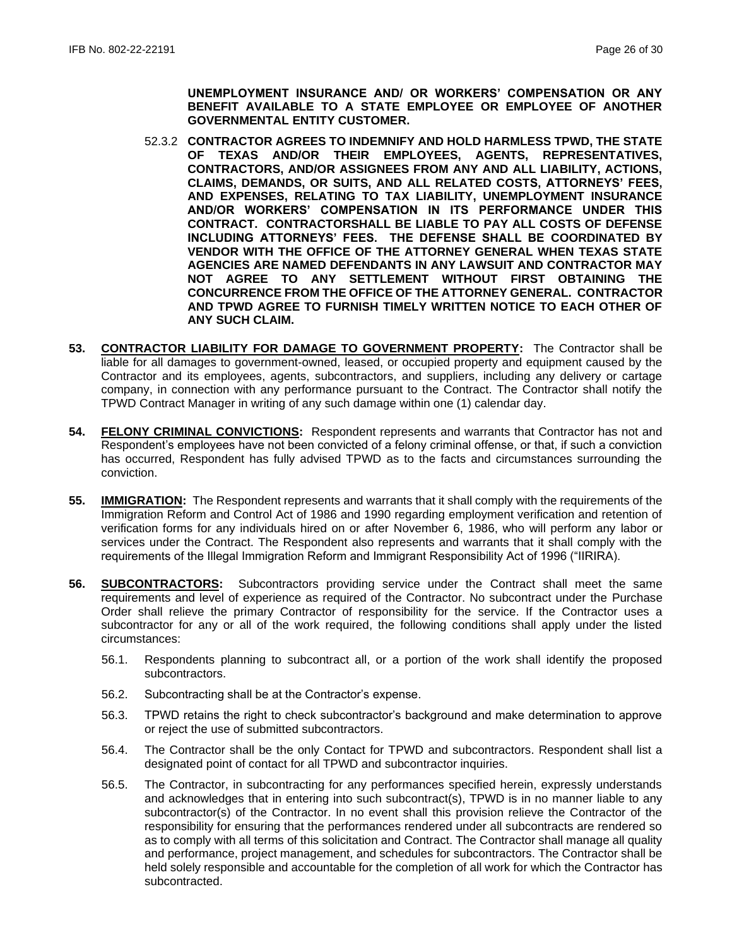**UNEMPLOYMENT INSURANCE AND/ OR WORKERS' COMPENSATION OR ANY BENEFIT AVAILABLE TO A STATE EMPLOYEE OR EMPLOYEE OF ANOTHER GOVERNMENTAL ENTITY CUSTOMER.**

- 52.3.2 **CONTRACTOR AGREES TO INDEMNIFY AND HOLD HARMLESS TPWD, THE STATE OF TEXAS AND/OR THEIR EMPLOYEES, AGENTS, REPRESENTATIVES, CONTRACTORS, AND/OR ASSIGNEES FROM ANY AND ALL LIABILITY, ACTIONS, CLAIMS, DEMANDS, OR SUITS, AND ALL RELATED COSTS, ATTORNEYS' FEES, AND EXPENSES, RELATING TO TAX LIABILITY, UNEMPLOYMENT INSURANCE AND/OR WORKERS' COMPENSATION IN ITS PERFORMANCE UNDER THIS CONTRACT. CONTRACTORSHALL BE LIABLE TO PAY ALL COSTS OF DEFENSE INCLUDING ATTORNEYS' FEES. THE DEFENSE SHALL BE COORDINATED BY VENDOR WITH THE OFFICE OF THE ATTORNEY GENERAL WHEN TEXAS STATE AGENCIES ARE NAMED DEFENDANTS IN ANY LAWSUIT AND CONTRACTOR MAY NOT AGREE TO ANY SETTLEMENT WITHOUT FIRST OBTAINING THE CONCURRENCE FROM THE OFFICE OF THE ATTORNEY GENERAL. CONTRACTOR AND TPWD AGREE TO FURNISH TIMELY WRITTEN NOTICE TO EACH OTHER OF ANY SUCH CLAIM.**
- **53. CONTRACTOR LIABILITY FOR DAMAGE TO GOVERNMENT PROPERTY:** The Contractor shall be liable for all damages to government-owned, leased, or occupied property and equipment caused by the Contractor and its employees, agents, subcontractors, and suppliers, including any delivery or cartage company, in connection with any performance pursuant to the Contract. The Contractor shall notify the TPWD Contract Manager in writing of any such damage within one (1) calendar day.
- **54. FELONY CRIMINAL CONVICTIONS:** Respondent represents and warrants that Contractor has not and Respondent's employees have not been convicted of a felony criminal offense, or that, if such a conviction has occurred, Respondent has fully advised TPWD as to the facts and circumstances surrounding the conviction.
- **55. IMMIGRATION:** The Respondent represents and warrants that it shall comply with the requirements of the Immigration Reform and Control Act of 1986 and 1990 regarding employment verification and retention of verification forms for any individuals hired on or after November 6, 1986, who will perform any labor or services under the Contract. The Respondent also represents and warrants that it shall comply with the requirements of the Illegal Immigration Reform and Immigrant Responsibility Act of 1996 ("IIRIRA).
- **56. SUBCONTRACTORS:** Subcontractors providing service under the Contract shall meet the same requirements and level of experience as required of the Contractor. No subcontract under the Purchase Order shall relieve the primary Contractor of responsibility for the service. If the Contractor uses a subcontractor for any or all of the work required, the following conditions shall apply under the listed circumstances:
	- 56.1. Respondents planning to subcontract all, or a portion of the work shall identify the proposed subcontractors.
	- 56.2. Subcontracting shall be at the Contractor's expense.
	- 56.3. TPWD retains the right to check subcontractor's background and make determination to approve or reject the use of submitted subcontractors.
	- 56.4. The Contractor shall be the only Contact for TPWD and subcontractors. Respondent shall list a designated point of contact for all TPWD and subcontractor inquiries.
	- 56.5. The Contractor, in subcontracting for any performances specified herein, expressly understands and acknowledges that in entering into such subcontract(s), TPWD is in no manner liable to any subcontractor(s) of the Contractor. In no event shall this provision relieve the Contractor of the responsibility for ensuring that the performances rendered under all subcontracts are rendered so as to comply with all terms of this solicitation and Contract. The Contractor shall manage all quality and performance, project management, and schedules for subcontractors. The Contractor shall be held solely responsible and accountable for the completion of all work for which the Contractor has subcontracted.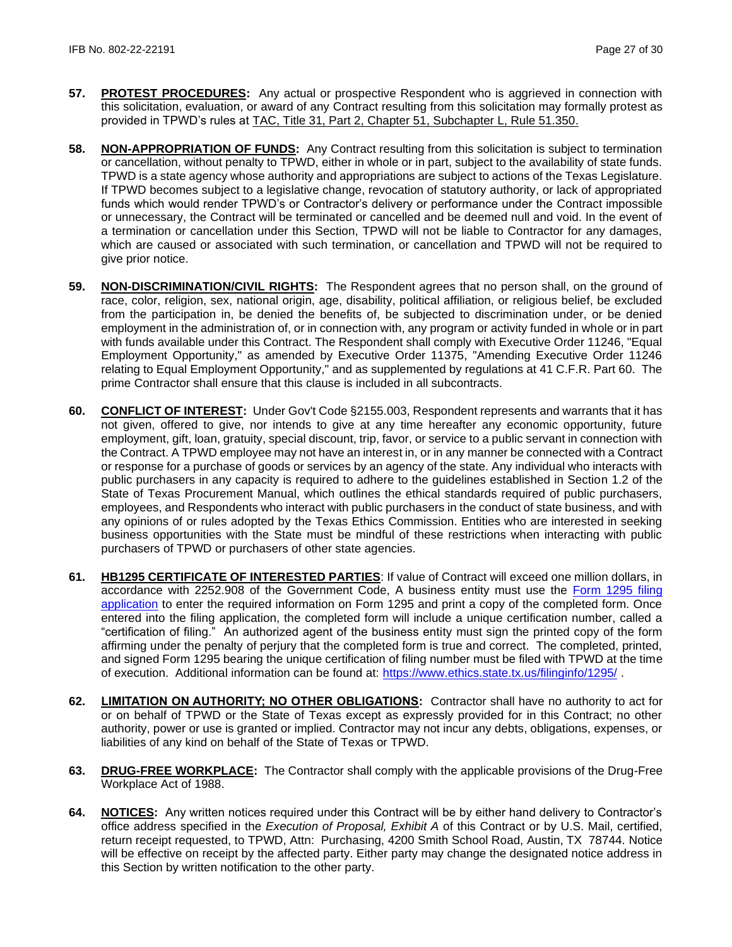- **57. PROTEST PROCEDURES:** Any actual or prospective Respondent who is aggrieved in connection with this solicitation, evaluation, or award of any Contract resulting from this solicitation may formally protest as provided in TPWD's rules at [TAC, Title 31, Part 2, Chapter 51, Subchapter L, Rule 51.350.](http://texreg.sos.state.tx.us/public/readtac$ext.TacPage?sl=R&app=9&p_dir=&p_rloc=&p_tloc=&p_ploc=&pg=1&p_tac=&ti=31&pt=2&ch=51&rl=350)
- **58. NON-APPROPRIATION OF FUNDS:** Any Contract resulting from this solicitation is subject to termination or cancellation, without penalty to TPWD, either in whole or in part, subject to the availability of state funds. TPWD is a state agency whose authority and appropriations are subject to actions of the Texas Legislature. If TPWD becomes subject to a legislative change, revocation of statutory authority, or lack of appropriated funds which would render TPWD's or Contractor's delivery or performance under the Contract impossible or unnecessary, the Contract will be terminated or cancelled and be deemed null and void. In the event of a termination or cancellation under this Section, TPWD will not be liable to Contractor for any damages, which are caused or associated with such termination, or cancellation and TPWD will not be required to give prior notice.
- **59. NON-DISCRIMINATION/CIVIL RIGHTS:** The Respondent agrees that no person shall, on the ground of race, color, religion, sex, national origin, age, disability, political affiliation, or religious belief, be excluded from the participation in, be denied the benefits of, be subjected to discrimination under, or be denied employment in the administration of, or in connection with, any program or activity funded in whole or in part with funds available under this Contract. The Respondent shall comply with Executive Order 11246, "Equal Employment Opportunity," as amended by Executive Order 11375, "Amending Executive Order 11246 relating to Equal Employment Opportunity," and as supplemented by regulations at 41 C.F.R. Part 60. The prime Contractor shall ensure that this clause is included in all subcontracts.
- **60. CONFLICT OF INTEREST:** Under Gov't Code §2155.003, Respondent represents and warrants that it has not given, offered to give, nor intends to give at any time hereafter any economic opportunity, future employment, gift, loan, gratuity, special discount, trip, favor, or service to a public servant in connection with the Contract. A TPWD employee may not have an interest in, or in any manner be connected with a Contract or response for a purchase of goods or services by an agency of the state. Any individual who interacts with public purchasers in any capacity is required to adhere to the guidelines established in Section 1.2 of the State of Texas Procurement Manual, which outlines the ethical standards required of public purchasers, employees, and Respondents who interact with public purchasers in the conduct of state business, and with any opinions of or rules adopted by the Texas Ethics Commission. Entities who are interested in seeking business opportunities with the State must be mindful of these restrictions when interacting with public purchasers of TPWD or purchasers of other state agencies.
- **61. HB1295 CERTIFICATE OF INTERESTED PARTIES**: If value of Contract will exceed one million dollars, in accordance with 2252.908 of the Government Code, A business entity must use the [Form 1295 filing](https://www.ethics.state.tx.us/whatsnew/elf_info_form1295.htm)  [application](https://www.ethics.state.tx.us/whatsnew/elf_info_form1295.htm) to enter the required information on Form 1295 and print a copy of the completed form. Once entered into the filing application, the completed form will include a unique certification number, called a "certification of filing." An authorized agent of the business entity must sign the printed copy of the form affirming under the penalty of perjury that the completed form is true and correct. The completed, printed, and signed Form 1295 bearing the unique certification of filing number must be filed with TPWD at the time of execution. Additional information can be found at:<https://www.ethics.state.tx.us/filinginfo/1295/> .
- **62. LIMITATION ON AUTHORITY; NO OTHER OBLIGATIONS:** Contractor shall have no authority to act for or on behalf of TPWD or the State of Texas except as expressly provided for in this Contract; no other authority, power or use is granted or implied. Contractor may not incur any debts, obligations, expenses, or liabilities of any kind on behalf of the State of Texas or TPWD.
- **63. DRUG-FREE WORKPLACE:** The Contractor shall comply with the applicable provisions of the Drug-Free Workplace Act of 1988.
- **64. NOTICES:** Any written notices required under this Contract will be by either hand delivery to Contractor's office address specified in the *Execution of Proposal, Exhibit A* of this Contract or by U.S. Mail, certified, return receipt requested, to TPWD, Attn: Purchasing, 4200 Smith School Road, Austin, TX 78744*.* Notice will be effective on receipt by the affected party. Either party may change the designated notice address in this Section by written notification to the other party.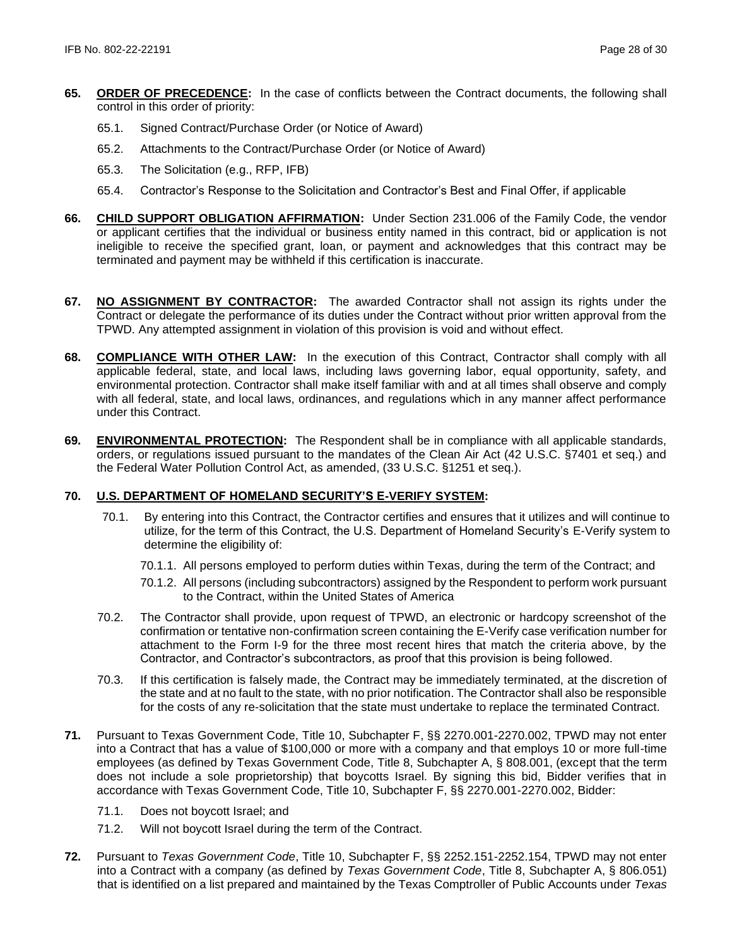- **65. ORDER OF PRECEDENCE:** In the case of conflicts between the Contract documents, the following shall control in this order of priority:
	- 65.1. Signed Contract/Purchase Order (or Notice of Award)
	- 65.2. Attachments to the Contract/Purchase Order (or Notice of Award)
	- 65.3. The Solicitation (e.g., RFP, IFB)
	- 65.4. Contractor's Response to the Solicitation and Contractor's Best and Final Offer, if applicable
- **66. CHILD SUPPORT OBLIGATION AFFIRMATION:** Under Section 231.006 of the Family Code, the vendor or applicant certifies that the individual or business entity named in this contract, bid or application is not ineligible to receive the specified grant, loan, or payment and acknowledges that this contract may be terminated and payment may be withheld if this certification is inaccurate.
- **67. NO ASSIGNMENT BY CONTRACTOR:** The awarded Contractor shall not assign its rights under the Contract or delegate the performance of its duties under the Contract without prior written approval from the TPWD. Any attempted assignment in violation of this provision is void and without effect.
- **68. COMPLIANCE WITH OTHER LAW:** In the execution of this Contract, Contractor shall comply with all applicable federal, state, and local laws, including laws governing labor, equal opportunity, safety, and environmental protection. Contractor shall make itself familiar with and at all times shall observe and comply with all federal, state, and local laws, ordinances, and regulations which in any manner affect performance under this Contract.
- **69. ENVIRONMENTAL PROTECTION:** The Respondent shall be in compliance with all applicable standards, orders, or regulations issued pursuant to the mandates of the Clean Air Act (42 U.S.C. §7401 et seq.) and the Federal Water Pollution Control Act, as amended, (33 U.S.C. §1251 et seq.).

## **70. U.S. DEPARTMENT OF HOMELAND SECURITY'S E-VERIFY SYSTEM:**

- 70.1. By entering into this Contract, the Contractor certifies and ensures that it utilizes and will continue to utilize, for the term of this Contract, the U.S. Department of Homeland Security's E-Verify system to determine the eligibility of:
	- 70.1.1. All persons employed to perform duties within Texas, during the term of the Contract; and
	- 70.1.2. All persons (including subcontractors) assigned by the Respondent to perform work pursuant to the Contract, within the United States of America
- 70.2. The Contractor shall provide, upon request of TPWD, an electronic or hardcopy screenshot of the confirmation or tentative non-confirmation screen containing the E-Verify case verification number for attachment to the Form I-9 for the three most recent hires that match the criteria above, by the Contractor, and Contractor's subcontractors, as proof that this provision is being followed.
- 70.3. If this certification is falsely made, the Contract may be immediately terminated, at the discretion of the state and at no fault to the state, with no prior notification. The Contractor shall also be responsible for the costs of any re-solicitation that the state must undertake to replace the terminated Contract.
- **71.** Pursuant to Texas Government Code, Title 10, Subchapter F, §§ 2270.001-2270.002, TPWD may not enter into a Contract that has a value of \$100,000 or more with a company and that employs 10 or more full-time employees (as defined by Texas Government Code, Title 8, Subchapter A, § 808.001, (except that the term does not include a sole proprietorship) that boycotts Israel. By signing this bid, Bidder verifies that in accordance with Texas Government Code, Title 10, Subchapter F, §§ 2270.001-2270.002, Bidder:
	- 71.1. Does not boycott Israel; and
	- 71.2. Will not boycott Israel during the term of the Contract.
- **72.** Pursuant to *Texas Government Code*, Title 10, Subchapter F, §§ 2252.151-2252.154, TPWD may not enter into a Contract with a company (as defined by *Texas Government Code*, Title 8, Subchapter A, § 806.051) that is identified on a list prepared and maintained by the Texas Comptroller of Public Accounts under *Texas*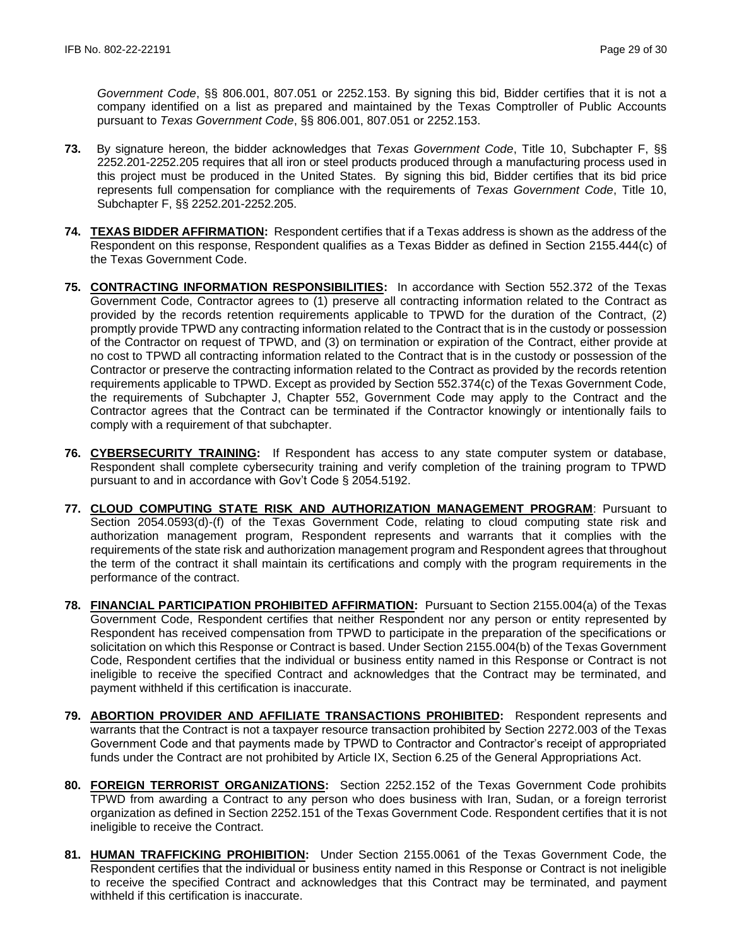*Government Code*, §§ 806.001, 807.051 or 2252.153. By signing this bid, Bidder certifies that it is not a company identified on a list as prepared and maintained by the Texas Comptroller of Public Accounts pursuant to *Texas Government Code*, §§ 806.001, 807.051 or 2252.153.

- **73.** By signature hereon, the bidder acknowledges that *Texas Government Code*, Title 10, Subchapter F, §§ 2252.201-2252.205 requires that all iron or steel products produced through a manufacturing process used in this project must be produced in the United States. By signing this bid, Bidder certifies that its bid price represents full compensation for compliance with the requirements of *Texas Government Code*, Title 10, Subchapter F, §§ 2252.201-2252.205.
- **74. TEXAS BIDDER AFFIRMATION:** Respondent certifies that if a Texas address is shown as the address of the Respondent on this response, Respondent qualifies as a Texas Bidder as defined in Section 2155.444(c) of the Texas Government Code.
- **75. CONTRACTING INFORMATION RESPONSIBILITIES:** In accordance with Section 552.372 of the Texas Government Code, Contractor agrees to (1) preserve all contracting information related to the Contract as provided by the records retention requirements applicable to TPWD for the duration of the Contract, (2) promptly provide TPWD any contracting information related to the Contract that is in the custody or possession of the Contractor on request of TPWD, and (3) on termination or expiration of the Contract, either provide at no cost to TPWD all contracting information related to the Contract that is in the custody or possession of the Contractor or preserve the contracting information related to the Contract as provided by the records retention requirements applicable to TPWD. Except as provided by Section 552.374(c) of the Texas Government Code, the requirements of Subchapter J, Chapter 552, Government Code may apply to the Contract and the Contractor agrees that the Contract can be terminated if the Contractor knowingly or intentionally fails to comply with a requirement of that subchapter.
- **76. CYBERSECURITY TRAINING:** If Respondent has access to any state computer system or database, Respondent shall complete cybersecurity training and verify completion of the training program to TPWD pursuant to and in accordance with Gov't Code § 2054.5192.
- **77. CLOUD COMPUTING STATE RISK AND AUTHORIZATION MANAGEMENT PROGRAM**: Pursuant to Section 2054.0593(d)-(f) of the Texas Government Code, relating to cloud computing state risk and authorization management program, Respondent represents and warrants that it complies with the requirements of the state risk and authorization management program and Respondent agrees that throughout the term of the contract it shall maintain its certifications and comply with the program requirements in the performance of the contract.
- **78. FINANCIAL PARTICIPATION PROHIBITED AFFIRMATION:** Pursuant to Section 2155.004(a) of the Texas Government Code, Respondent certifies that neither Respondent nor any person or entity represented by Respondent has received compensation from TPWD to participate in the preparation of the specifications or solicitation on which this Response or Contract is based. Under Section 2155.004(b) of the Texas Government Code, Respondent certifies that the individual or business entity named in this Response or Contract is not ineligible to receive the specified Contract and acknowledges that the Contract may be terminated, and payment withheld if this certification is inaccurate.
- **79. ABORTION PROVIDER AND AFFILIATE TRANSACTIONS PROHIBITED:** Respondent represents and warrants that the Contract is not a taxpayer resource transaction prohibited by Section 2272.003 of the Texas Government Code and that payments made by TPWD to Contractor and Contractor's receipt of appropriated funds under the Contract are not prohibited by Article IX, Section 6.25 of the General Appropriations Act.
- **80. FOREIGN TERRORIST ORGANIZATIONS:** Section 2252.152 of the Texas Government Code prohibits TPWD from awarding a Contract to any person who does business with Iran, Sudan, or a foreign terrorist organization as defined in Section 2252.151 of the Texas Government Code. Respondent certifies that it is not ineligible to receive the Contract.
- **81. HUMAN TRAFFICKING PROHIBITION:** Under Section 2155.0061 of the Texas Government Code, the Respondent certifies that the individual or business entity named in this Response or Contract is not ineligible to receive the specified Contract and acknowledges that this Contract may be terminated, and payment withheld if this certification is inaccurate.